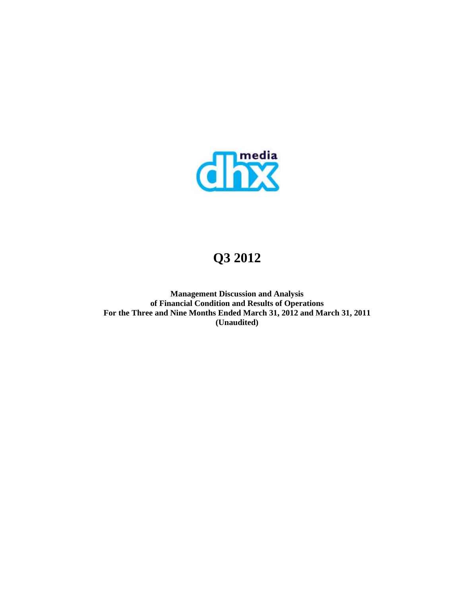

# **Q3 2012**

**Management Discussion and Analysis of Financial Condition and Results of Operations For the Three and Nine Months Ended March 31, 2012 and March 31, 2011 (Unaudited)**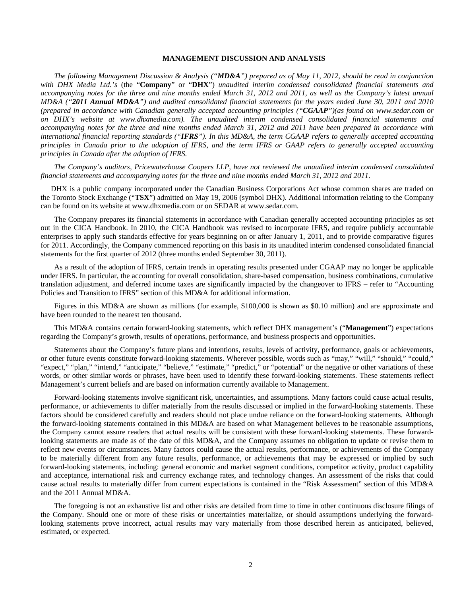## **MANAGEMENT DISCUSSION AND ANALYSIS**

*The following Management Discussion & Analysis ("MD&A") prepared as of May 11, 2012, should be read in conjunction with DHX Media Ltd.'s* (the "**Company**" or "**DHX**") *unaudited interim condensed consolidated financial statements and accompanying notes for the three and nine months ended March 31, 2012 and 2011, as well as the Company's latest annual MD&A ("2011 Annual MD&A") and audited consolidated financial statements for the years ended June 30, 2011 and 2010 (prepared in accordance with Canadian generally accepted accounting principles ("CGAAP")(as found on www.sedar.com or on DHX's website at www.dhxmedia.com). The unaudited interim condensed consolidated financial statements and accompanying notes for the three and nine months ended March 31, 2012 and 2011 have been prepared in accordance with international financial reporting standards ("IFRS"). In this MD&A, the term CGAAP refers to generally accepted accounting principles in Canada prior to the adoption of IFRS, and the term IFRS or GAAP refers to generally accepted accounting principles in Canada after the adoption of IFRS.* 

*The Company's auditors, Pricewaterhouse Coopers LLP, have not reviewed the unaudited interim condensed consolidated financial statements and accompanying notes for the three and nine months ended March 31, 2012 and 2011.* 

DHX is a public company incorporated under the Canadian Business Corporations Act whose common shares are traded on the Toronto Stock Exchange ("**TSX**") admitted on May 19, 2006 (symbol DHX). Additional information relating to the Company can be found on its website at www.dhxmedia.com or on SEDAR at www.sedar.com.

The Company prepares its financial statements in accordance with Canadian generally accepted accounting principles as set out in the CICA Handbook. In 2010, the CICA Handbook was revised to incorporate IFRS, and require publicly accountable enterprises to apply such standards effective for years beginning on or after January 1, 2011, and to provide comparative figures for 2011. Accordingly, the Company commenced reporting on this basis in its unaudited interim condensed consolidated financial statements for the first quarter of 2012 (three months ended September 30, 2011).

As a result of the adoption of IFRS, certain trends in operating results presented under CGAAP may no longer be applicable under IFRS. In particular, the accounting for overall consolidation, share-based compensation, business combinations, cumulative translation adjustment, and deferred income taxes are significantly impacted by the changeover to IFRS – refer to "Accounting Policies and Transition to IFRS" section of this MD&A for additional information.

Figures in this MD&A are shown as millions (for example, \$100,000 is shown as \$0.10 million) and are approximate and have been rounded to the nearest ten thousand.

This MD&A contains certain forward-looking statements, which reflect DHX management's ("**Management**") expectations regarding the Company's growth, results of operations, performance, and business prospects and opportunities.

Statements about the Company's future plans and intentions, results, levels of activity, performance, goals or achievements, or other future events constitute forward-looking statements. Wherever possible, words such as "may," "will," "should," "could," "expect," "plan," "intend," "anticipate," "believe," "estimate," "predict," or "potential" or the negative or other variations of these words, or other similar words or phrases, have been used to identify these forward-looking statements. These statements reflect Management's current beliefs and are based on information currently available to Management.

Forward-looking statements involve significant risk, uncertainties, and assumptions. Many factors could cause actual results, performance, or achievements to differ materially from the results discussed or implied in the forward-looking statements. These factors should be considered carefully and readers should not place undue reliance on the forward-looking statements. Although the forward-looking statements contained in this MD&A are based on what Management believes to be reasonable assumptions, the Company cannot assure readers that actual results will be consistent with these forward-looking statements. These forwardlooking statements are made as of the date of this MD&A, and the Company assumes no obligation to update or revise them to reflect new events or circumstances. Many factors could cause the actual results, performance, or achievements of the Company to be materially different from any future results, performance, or achievements that may be expressed or implied by such forward-looking statements, including: general economic and market segment conditions, competitor activity, product capability and acceptance, international risk and currency exchange rates, and technology changes. An assessment of the risks that could cause actual results to materially differ from current expectations is contained in the "Risk Assessment" section of this MD&A and the 2011 Annual MD&A.

The foregoing is not an exhaustive list and other risks are detailed from time to time in other continuous disclosure filings of the Company. Should one or more of these risks or uncertainties materialize, or should assumptions underlying the forwardlooking statements prove incorrect, actual results may vary materially from those described herein as anticipated, believed, estimated, or expected.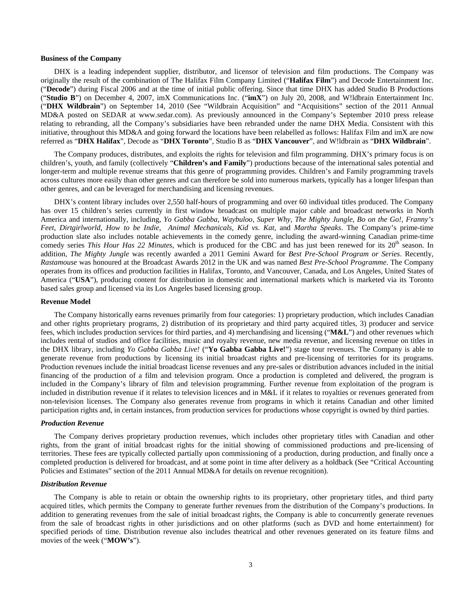#### **Business of the Company**

DHX is a leading independent supplier, distributor, and licensor of television and film productions. The Company was originally the result of the combination of The Halifax Film Company Limited ("**Halifax Film**") and Decode Entertainment Inc. ("**Decode**") during Fiscal 2006 and at the time of initial public offering. Since that time DHX has added Studio B Productions ("**Studio B**") on December 4, 2007, imX Communications Inc. ("**imX**") on July 20, 2008, and W!ldbrain Entertainment Inc. ("**DHX Wildbrain**") on September 14, 2010 (See "Wildbrain Acquisition" and "Acquisitions" section of the 2011 Annual MD&A posted on SEDAR at www.sedar.com). As previously announced in the Company's September 2010 press release relating to rebranding, all the Company's subsidiaries have been rebranded under the name DHX Media. Consistent with this initiative, throughout this MD&A and going forward the locations have been relabelled as follows: Halifax Film and imX are now referred as "**DHX Halifax**", Decode as "**DHX Toronto**", Studio B as "**DHX Vancouver**", and W!ldbrain as "**DHX Wildbrain**".

The Company produces, distributes, and exploits the rights for television and film programming. DHX's primary focus is on children's, youth, and family (collectively "**Children's and Family**") productions because of the international sales potential and longer-term and multiple revenue streams that this genre of programming provides. Children's and Family programming travels across cultures more easily than other genres and can therefore be sold into numerous markets, typically has a longer lifespan than other genres, and can be leveraged for merchandising and licensing revenues.

DHX's content library includes over 2,550 half-hours of programming and over 60 individual titles produced. The Company has over 15 children's series currently in first window broadcast on multiple major cable and broadcast networks in North America and internationally, including, *Yo Gabba Gabba, Waybuloo, Super Why, The Mighty Jungle, Bo on the Go!, Franny's Feet, Dirtgirlworld, How to be Indie, Animal Mechanicals, Kid vs. Kat,* and *Martha Speaks*. The Company's prime-time production slate also includes notable achievements in the comedy genre, including the award-winning Canadian prime-time comedy series *This Hour Has 22 Minutes*, which is produced for the CBC and has just been renewed for its 20<sup>th</sup> season. In addition, *The Mighty Jungle* was recently awarded a 2011 Gemini Award for *Best Pre-School Program or Series*. Recently, *Rastamouse* was honoured at the Broadcast Awards 2012 in the UK and was named *Best Pre-School Programme*. The Company operates from its offices and production facilities in Halifax, Toronto, and Vancouver, Canada, and Los Angeles, United States of America ("**USA**"), producing content for distribution in domestic and international markets which is marketed via its Toronto based sales group and licensed via its Los Angeles based licensing group.

#### **Revenue Model**

The Company historically earns revenues primarily from four categories: 1) proprietary production, which includes Canadian and other rights proprietary programs, 2) distribution of its proprietary and third party acquired titles, 3) producer and service fees, which includes production services for third parties, and 4) merchandising and licensing ("**M&L**") and other revenues which includes rental of studios and office facilities, music and royalty revenue, new media revenue, and licensing revenue on titles in the DHX library, including *Yo Gabba Gabba Live!* ("**Yo Gabba Gabba Live!**") stage tour revenues. The Company is able to generate revenue from productions by licensing its initial broadcast rights and pre-licensing of territories for its programs. Production revenues include the initial broadcast license revenues and any pre-sales or distribution advances included in the initial financing of the production of a film and television program. Once a production is completed and delivered, the program is included in the Company's library of film and television programming. Further revenue from exploitation of the program is included in distribution revenue if it relates to television licences and in M&L if it relates to royalties or revenues generated from non-television licenses. The Company also generates revenue from programs in which it retains Canadian and other limited participation rights and, in certain instances, from production services for productions whose copyright is owned by third parties.

#### *Production Revenue*

The Company derives proprietary production revenues, which includes other proprietary titles with Canadian and other rights, from the grant of initial broadcast rights for the initial showing of commissioned productions and pre-licensing of territories. These fees are typically collected partially upon commissioning of a production, during production, and finally once a completed production is delivered for broadcast, and at some point in time after delivery as a holdback (See "Critical Accounting Policies and Estimates" section of the 2011 Annual MD&A for details on revenue recognition).

#### *Distribution Revenue*

The Company is able to retain or obtain the ownership rights to its proprietary, other proprietary titles, and third party acquired titles, which permits the Company to generate further revenues from the distribution of the Company's productions. In addition to generating revenues from the sale of initial broadcast rights, the Company is able to concurrently generate revenues from the sale of broadcast rights in other jurisdictions and on other platforms (such as DVD and home entertainment) for specified periods of time. Distribution revenue also includes theatrical and other revenues generated on its feature films and movies of the week ("**MOW's**").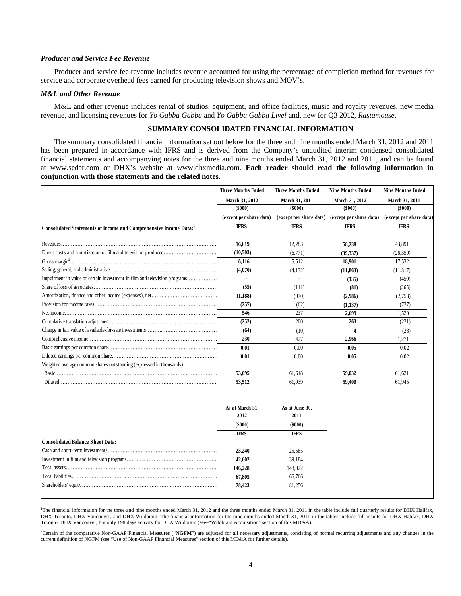## *Producer and Service Fee Revenue*

Producer and service fee revenue includes revenue accounted for using the percentage of completion method for revenues for service and corporate overhead fees earned for producing television shows and MOV's.

#### *M&L and Other Revenue*

M&L and other revenue includes rental of studios, equipment, and office facilities, music and royalty revenues, new media revenue, and licensing revenues for *Yo Gabba Gabba* and *Yo Gabba Gabba Live!* and, new for Q3 2012, *Rastamouse*.

## **SUMMARY CONSOLIDATED FINANCIAL INFORMATION**

The summary consolidated financial information set out below for the three and nine months ended March 31, 2012 and 2011 has been prepared in accordance with IFRS and is derived from the Company's unaudited interim condensed consolidated financial statements and accompanying notes for the three and nine months ended March 31, 2012 and 2011, and can be found at www.sedar.com or DHX's website at www.dhxmedia.com. Each reader should read the following information in **conjunction with those statements and the related notes.** 

|                                                                           | <b>Three Months Ended</b> | <b>Three Months Ended</b> | <b>Nine Months Ended</b> | <b>Nine Months Ended</b> |
|---------------------------------------------------------------------------|---------------------------|---------------------------|--------------------------|--------------------------|
|                                                                           | March 31, 2012            | March 31, 2011            | March 31, 2012           | March 31, 2011           |
|                                                                           | (5000)                    | ( \$000)                  | (5000)                   | (5000)                   |
|                                                                           | (except per share data)   | (except per share data)   | (except per share data)  | (except per share data)  |
| Consolidated Statements of Income and Comprehensive Income Data:          | <b>IFRS</b>               | <b>IFRS</b>               | <b>IFRS</b>              | <b>IFRS</b>              |
|                                                                           | 16,619                    | 12,283                    | 58,238                   | 43,891                   |
|                                                                           | (10,503)                  | (6,771)                   | (39, 337)                | (26, 359)                |
|                                                                           | 6,116                     | 5,512                     | 18,901                   | 17,532                   |
|                                                                           | (4,070)                   | (4,132)                   | (11, 863)                | (11, 817)                |
| Impairment in value of certain investment in film and television programs |                           |                           | (135)                    | (450)                    |
|                                                                           | (55)                      | (111)                     | (81)                     | (265)                    |
|                                                                           | (1,188)                   | (970)                     | (2,986)                  | (2,753)                  |
|                                                                           | (257)                     | (62)                      | (1,137)                  | (727)                    |
|                                                                           | 546                       | 237                       | 2.699                    | 1,520                    |
|                                                                           | (252)                     | 200                       | 263                      | (221)                    |
|                                                                           | (64)                      | (10)                      |                          | (28)                     |
|                                                                           | 230                       | 427                       | 2,966                    | 1.271                    |
|                                                                           | 0.01                      | 0.00                      | 0.05                     | 0.02                     |
|                                                                           | 0.01                      | 0.00                      | 0.05                     | 0.02                     |
| Weighted average common shares outstanding (expressed in thousands)       |                           |                           |                          |                          |
|                                                                           | 53,095                    | 61.618                    | 59,032                   | 61.621                   |
|                                                                           | 53,512                    | 61,939                    | 59,400                   | 61,945                   |
|                                                                           | As at March 31,<br>2012   | As at June 30,<br>2011    |                          |                          |
|                                                                           | $($ \$000 $)$             | $($ \$000 $)$             |                          |                          |

|                                  | $($ \$000 $)$ | (5000)      |
|----------------------------------|---------------|-------------|
|                                  | <b>IFRS</b>   | <b>IFRS</b> |
| Consolidated Balance Sheet Data: |               |             |
|                                  | 23,240        | 25,585      |
|                                  | 42,602        | 39,184      |
|                                  | 146,228       | 148,022     |
| Total liabilities.               | 67,805        | 66,766      |
|                                  | 78,423        | 81.256      |
|                                  |               |             |

<sup>1</sup>The financial information for the three and nine months ended March 31, 2012 and the three months ended March 31, 2011 in the table include full quarterly results for DHX Halifax, DHX Toronto, DHX Vancouver, and DHX Wildbrain. The financial information for the nine months ended March 31, 2011 in the tables include full results for DHX Halifax, DHX Toronto, DHX Vancouver, but only 198 days activity for DHX Wildbrain (see–"Wildbrain Acquisition" section of this MD&A).

<sup>2</sup>Certain of the comparative Non-GAAP Financial Measures ("NGFM") are adjusted for all necessary adjustments, consisting of normal recurring adjustments and any changes in the current definition of NGFM (see "Use of Non-GAAP Financial Measures" section of this MD&A for further details).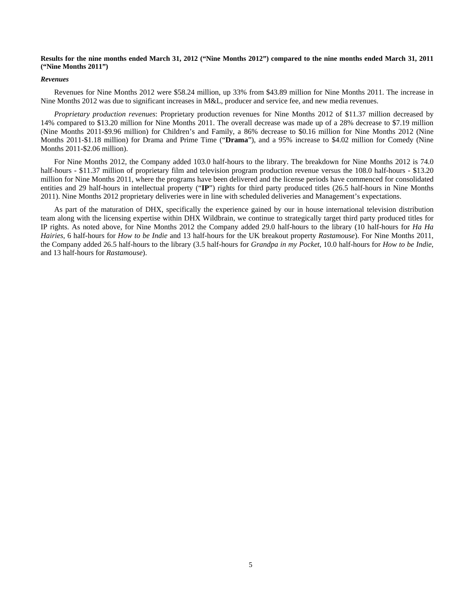## **Results for the nine months ended March 31, 2012 ("Nine Months 2012") compared to the nine months ended March 31, 2011 ("Nine Months 2011")**

#### *Revenues*

Revenues for Nine Months 2012 were \$58.24 million, up 33% from \$43.89 million for Nine Months 2011. The increase in Nine Months 2012 was due to significant increases in M&L, producer and service fee, and new media revenues.

*Proprietary production revenues*: Proprietary production revenues for Nine Months 2012 of \$11.37 million decreased by 14% compared to \$13.20 million for Nine Months 2011. The overall decrease was made up of a 28% decrease to \$7.19 million (Nine Months 2011-\$9.96 million) for Children's and Family, a 86% decrease to \$0.16 million for Nine Months 2012 (Nine Months 2011-\$1.18 million) for Drama and Prime Time ("**Drama**"), and a 95% increase to \$4.02 million for Comedy (Nine Months 2011-\$2.06 million).

For Nine Months 2012, the Company added 103.0 half-hours to the library. The breakdown for Nine Months 2012 is 74.0 half-hours - \$11.37 million of proprietary film and television program production revenue versus the 108.0 half-hours - \$13.20 million for Nine Months 2011, where the programs have been delivered and the license periods have commenced for consolidated entities and 29 half-hours in intellectual property ("**IP**") rights for third party produced titles (26.5 half-hours in Nine Months 2011). Nine Months 2012 proprietary deliveries were in line with scheduled deliveries and Management's expectations.

As part of the maturation of DHX, specifically the experience gained by our in house international television distribution team along with the licensing expertise within DHX Wildbrain, we continue to strategically target third party produced titles for IP rights. As noted above, for Nine Months 2012 the Company added 29.0 half-hours to the library (10 half-hours for *Ha Ha Hairies*, 6 half-hours for *How to be Indie* and 13 half-hours for the UK breakout property *Rastamouse*). For Nine Months 2011, the Company added 26.5 half-hours to the library (3.5 half-hours for *Grandpa in my Pocket*, 10.0 half-hours for *How to be Indie*, and 13 half-hours for *Rastamouse*).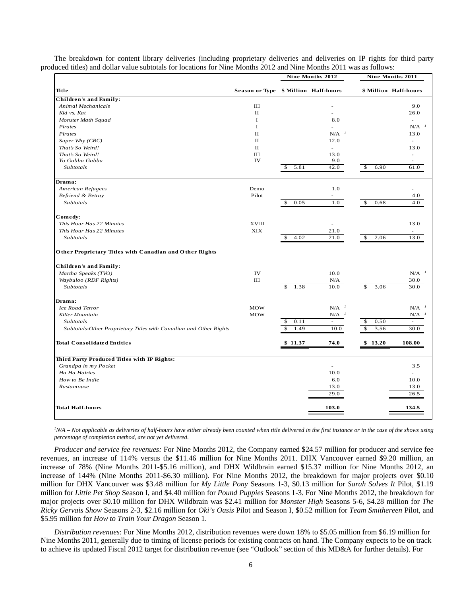|                                                                   |                                      |            | Nine Months 2012                | Nine Months 2011                 |                                 |  |
|-------------------------------------------------------------------|--------------------------------------|------------|---------------------------------|----------------------------------|---------------------------------|--|
| Title                                                             | Season or Type \$ Million Half-hours |            |                                 |                                  | \$ Million Half-hours           |  |
| <b>Children's and Family:</b>                                     |                                      |            |                                 |                                  |                                 |  |
| <b>Animal Mechanicals</b>                                         | III                                  |            |                                 |                                  | 9.0                             |  |
| Kid vs. Kat                                                       | $\mathbf{I}$                         |            |                                 |                                  | 26.0                            |  |
| Monster Math Squad                                                | $\bf{I}$                             |            | 8.0                             |                                  | $\sim$                          |  |
| Pirates                                                           | $\bf{I}$                             |            | ÷.                              |                                  | $N/A$ <sup><math>1</math></sup> |  |
| Pirates                                                           | $_{\rm II}$                          |            | $N/A$ <sup><math>1</math></sup> |                                  | 13.0                            |  |
| Super Why (CBC)                                                   | $_{\rm II}$                          |            | 12.0                            |                                  | $\sim$                          |  |
| That's So Weird!                                                  | $_{\rm II}$                          |            | ÷.                              |                                  | 13.0                            |  |
| That's So Weird!                                                  | III                                  |            | 13.0                            |                                  | ÷.                              |  |
| Yo Gabba Gabba                                                    | IV                                   |            | 9.0                             |                                  |                                 |  |
| <b>Subtotals</b>                                                  |                                      | 5.81<br>\$ | 42.0                            | \$<br>6.90                       | 61.0                            |  |
| Drama:                                                            |                                      |            |                                 |                                  |                                 |  |
| American Refugees                                                 | Demo                                 |            | 1.0                             |                                  |                                 |  |
| Befriend & Betray                                                 | Pilot                                |            |                                 |                                  | 4.0                             |  |
| Subtotals                                                         |                                      | 0.05<br>\$ | 1.0                             | 0.68<br>\$                       | 4.0                             |  |
| Comedy:                                                           |                                      |            |                                 |                                  |                                 |  |
| This Hour Has 22 Minutes                                          | <b>XVIII</b>                         |            | ä,                              |                                  | 13.0                            |  |
| This Hour Has 22 Minutes                                          | XIX                                  |            | 21.0                            |                                  |                                 |  |
| Subtotals                                                         |                                      | 4.02<br>\$ | 21.0                            | $\overline{\mathcal{S}}$<br>2.06 | 13.0                            |  |
| Other Proprietary Titles with Canadian and Other Rights           |                                      |            |                                 |                                  |                                 |  |
| <b>Children's and Family:</b>                                     |                                      |            |                                 |                                  |                                 |  |
| Martha Speaks (TVO)                                               | IV                                   |            | 10.0                            |                                  | $N/A$ <sup><math>1</math></sup> |  |
| Waybuloo (RDF Rights)                                             | III                                  |            | N/A                             |                                  | 30.0                            |  |
| Subtotals                                                         |                                      | 1.38<br>S  | 10.0                            | 3.06<br>\$.                      | 30.0                            |  |
| Drama:                                                            |                                      |            |                                 |                                  |                                 |  |
| Ice Road Terror                                                   | <b>MOW</b>                           |            | $N/A$ <sup><math>1</math></sup> |                                  | $N/A$ <sup><math>1</math></sup> |  |
| Killer Mountain                                                   | <b>MOW</b>                           |            | $N/A$ <sup><math>1</math></sup> |                                  | $N/A$ <sup><math>1</math></sup> |  |
| Subtotals                                                         |                                      | 0.11<br>\$ | $\bar{\phantom{a}}$             | 0.50<br>S                        | ÷,                              |  |
| Subtotals-Other Proprietary Titles with Canadian and Other Rights |                                      | 1.49<br>\$ | 10.0                            | 3.56<br>\$                       | 30.0                            |  |
| <b>Total Consolidated Entities</b>                                |                                      | \$11.37    | 74.0                            | \$13.20                          | 108.00                          |  |
|                                                                   |                                      |            |                                 |                                  |                                 |  |
| Third Party Produced Titles with IP Rights:                       |                                      |            |                                 |                                  |                                 |  |
| Grandpa in my Pocket                                              |                                      |            |                                 |                                  | 3.5                             |  |
| Ha Ha Hairies                                                     |                                      |            | 10.0                            |                                  |                                 |  |
| How to Be Indie                                                   |                                      |            | 6.0                             |                                  | 10.0                            |  |
| Rastamouse                                                        |                                      |            | 13.0                            |                                  | 13.0                            |  |
|                                                                   |                                      |            | 29.0                            |                                  | 26.5                            |  |
| <b>Total Half-hours</b>                                           |                                      |            | 103.0                           |                                  |                                 |  |

The breakdown for content library deliveries (including proprietary deliveries and deliveries on IP rights for third party<br>weed titles) and dellar value subtately for legations for Nine Months 2012 and Nine Months 2011 was produced titles) and dollar value subtotals for locations for Nine Months 2012 and Nine Months 2011 was as follows:

<sup>*1</sup>N/A – Not applicable as deliveries of half-hours have either already been counted when title delivered in the first instance or in the case of the shows using</sup> percentage of completion method, are not yet delivered*.

*Producer and service fee revenues:* For Nine Months 2012, the Company earned \$24.57 million for producer and service fee revenues, an increase of 114% versus the \$11.46 million for Nine Months 2011. DHX Vancouver earned \$9.20 million, an increase of 78% (Nine Months 2011-\$5.16 million), and DHX Wildbrain earned \$15.37 million for Nine Months 2012, an increase of 144% (Nine Months 2011-\$6.30 million). For Nine Months 2012, the breakdown for major projects over \$0.10 million for DHX Vancouver was \$3.48 million for *My Little Pony* Seasons 1-3, \$0.13 million for *Sarah Solves It* Pilot, \$1.19 million for *Little Pet Shop* Season I, and \$4.40 million for *Pound Puppies* Seasons 1-3. For Nine Months 2012, the breakdown for major projects over \$0.10 million for DHX Wildbrain was \$2.41 million for *Monster High* Seasons 5-6, \$4.28 million for *The Ricky Gervais Show* Seasons 2-3, \$2.16 million for *Oki's Oasis* Pilot and Season I, \$0.52 million for *Team Smithereen* Pilot, and \$5.95 million for *How to Train Your Dragon* Season 1.

*Distribution revenues*: For Nine Months 2012, distribution revenues were down 18% to \$5.05 million from \$6.19 million for Nine Months 2011, generally due to timing of license periods for existing contracts on hand. The Company expects to be on track to achieve its updated Fiscal 2012 target for distribution revenue (see "Outlook" section of this MD&A for further details). For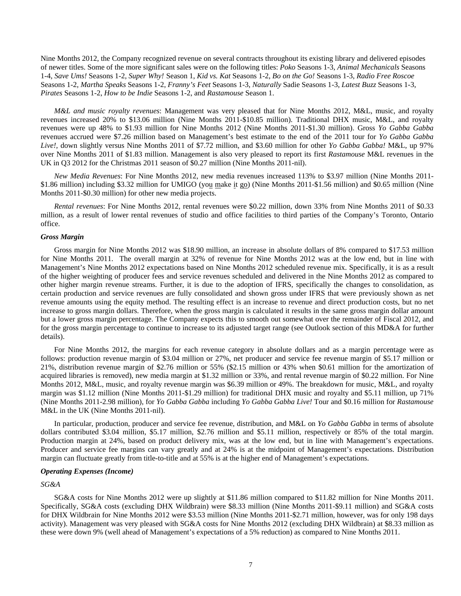Nine Months 2012, the Company recognized revenue on several contracts throughout its existing library and delivered episodes of newer titles. Some of the more significant sales were on the following titles: *Poko* Seasons 1-3, *Animal Mechanicals* Seasons 1-4, *Save Ums!* Seasons 1-2, *Super Why!* Season 1, *Kid vs. Kat* Seasons 1-2, *Bo on the Go!* Seasons 1-3, *Radio Free Roscoe* Seasons 1-2, *Martha Speaks* Seasons 1-2, *Franny's Feet* Seasons 1-3, *Naturally* Sadie Seasons 1-3, *Latest Buzz* Seasons 1-3, *Pirates* Seasons 1-2, *How to be Indie* Seasons 1-2, and *Rastamouse* Season 1.

*M&L and music royalty revenues*: Management was very pleased that for Nine Months 2012, M&L, music, and royalty revenues increased 20% to \$13.06 million (Nine Months 2011-\$10.85 million). Traditional DHX music, M&L, and royalty revenues were up 48% to \$1.93 million for Nine Months 2012 (Nine Months 2011-\$1.30 million). Gross *Yo Gabba Gabba*  revenues accrued were \$7.26 million based on Management's best estimate to the end of the 2011 tour for *Yo Gabba Gabba Live!,* down slightly versus Nine Months 2011 of \$7.72 million, and \$3.60 million for other *Yo Gabba Gabba!* M&L, up 97% over Nine Months 2011 of \$1.83 million. Management is also very pleased to report its first *Rastamouse* M&L revenues in the UK in Q3 2012 for the Christmas 2011 season of \$0.27 million (Nine Months 2011-nil).

*New Media Revenues*: For Nine Months 2012, new media revenues increased 113% to \$3.97 million (Nine Months 2011- \$1.86 million) including \$3.32 million for UMIGO (you make it go) (Nine Months 2011-\$1.56 million) and \$0.65 million (Nine Months 2011-\$0.30 million) for other new media projects.

*Rental revenues*: For Nine Months 2012, rental revenues were \$0.22 million, down 33% from Nine Months 2011 of \$0.33 million, as a result of lower rental revenues of studio and office facilities to third parties of the Company's Toronto, Ontario office.

#### *Gross Margin*

Gross margin for Nine Months 2012 was \$18.90 million, an increase in absolute dollars of 8% compared to \$17.53 million for Nine Months 2011. The overall margin at 32% of revenue for Nine Months 2012 was at the low end, but in line with Management's Nine Months 2012 expectations based on Nine Months 2012 scheduled revenue mix. Specifically, it is as a result of the higher weighting of producer fees and service revenues scheduled and delivered in the Nine Months 2012 as compared to other higher margin revenue streams. Further, it is due to the adoption of IFRS, specifically the changes to consolidation, as certain production and service revenues are fully consolidated and shown gross under IFRS that were previously shown as net revenue amounts using the equity method. The resulting effect is an increase to revenue and direct production costs, but no net increase to gross margin dollars. Therefore, when the gross margin is calculated it results in the same gross margin dollar amount but a lower gross margin percentage. The Company expects this to smooth out somewhat over the remainder of Fiscal 2012, and for the gross margin percentage to continue to increase to its adjusted target range (see Outlook section of this MD&A for further details).

For Nine Months 2012, the margins for each revenue category in absolute dollars and as a margin percentage were as follows: production revenue margin of \$3.04 million or 27%, net producer and service fee revenue margin of \$5.17 million or 21%, distribution revenue margin of \$2.76 million or 55% (\$2.15 million or 43% when \$0.61 million for the amortization of acquired libraries is removed), new media margin at \$1.32 million or 33%, and rental revenue margin of \$0.22 million. For Nine Months 2012, M&L, music, and royalty revenue margin was \$6.39 million or 49%. The breakdown for music, M&L, and royalty margin was \$1.12 million (Nine Months 2011-\$1.29 million) for traditional DHX music and royalty and \$5.11 million, up 71% (Nine Months 2011-2.98 million), for *Yo Gabba Gabba* including *Yo Gabba Gabba Live!* Tour and \$0.16 million for *Rastamouse* M&L in the UK (Nine Months 2011-nil).

In particular, production, producer and service fee revenue, distribution, and M&L on *Yo Gabba Gabba* in terms of absolute dollars contributed \$3.04 million, \$5.17 million, \$2.76 million and \$5.11 million, respectively or 85% of the total margin. Production margin at 24%, based on product delivery mix, was at the low end, but in line with Management's expectations. Producer and service fee margins can vary greatly and at 24% is at the midpoint of Management's expectations. Distribution margin can fluctuate greatly from title-to-title and at 55% is at the higher end of Management's expectations.

## *Operating Expenses (Income)*

## *SG&A*

SG&A costs for Nine Months 2012 were up slightly at \$11.86 million compared to \$11.82 million for Nine Months 2011. Specifically, SG&A costs (excluding DHX Wildbrain) were \$8.33 million (Nine Months 2011-\$9.11 million) and SG&A costs for DHX Wildbrain for Nine Months 2012 were \$3.53 million (Nine Months 2011-\$2.71 million, however, was for only 198 days activity). Management was very pleased with SG&A costs for Nine Months 2012 (excluding DHX Wildbrain) at \$8.33 million as these were down 9% (well ahead of Management's expectations of a 5% reduction) as compared to Nine Months 2011.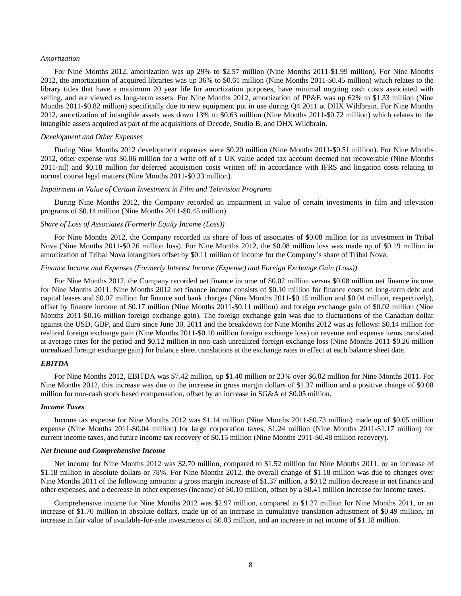#### *Amortization*

For Nine Months 2012, amortization was up 29% to \$2.57 million (Nine Months 2011-\$1.99 million). For Nine Months 2012, the amortization of acquired libraries was up 36% to \$0.61 million (Nine Months 2011-\$0.45 million) which relates to the library titles that have a maximum 20 year life for amortization purposes, have minimal ongoing cash costs associated with selling, and are viewed as long-term assets. For Nine Months 2012, amortization of PP&E was up 62% to \$1.33 million (Nine Months 2011-\$0.82 million) specifically due to new equipment put in use during Q4 2011 at DHX Wildbrain. For Nine Months 2012, amortization of intangible assets was down 13% to \$0.63 million (Nine Months 2011-\$0.72 million) which relates to the intangible assets acquired as part of the acquisitions of Decode, Studio B, and DHX Wildbrain.

#### *Development and Other Expenses*

During Nine Months 2012 development expenses were \$0.20 million (Nine Months 2011-\$0.51 million). For Nine Months 2012, other expense was \$0.06 million for a write off of a UK value added tax account deemed not recoverable (Nine Months 2011-nil) and \$0.18 million for deferred acquisition costs written off in accordance with IFRS and litigation costs relating to normal course legal matters (Nine Months 2011-\$0.33 million).

#### *Impairment in Value of Certain Investment in Film and Television Programs*

During Nine Months 2012, the Company recorded an impairment in value of certain investments in film and television programs of \$0.14 million (Nine Months 2011-\$0.45 million).

## *Share of Loss of Associates (Formerly Equity Income (Loss))*

For Nine Months 2012, the Company recorded its share of loss of associates of \$0.08 million for its investment in Tribal Nova (Nine Months 2011-\$0.26 million loss). For Nine Months 2012, the \$0.08 million loss was made up of \$0.19 million in amortization of Tribal Nova intangibles offset by \$0.11 million of income for the Company's share of Tribal Nova.

## *Finance Income and Expenses (Formerly Interest Income (Expense) and Foreign Exchange Gain (Loss))*

For Nine Months 2012, the Company recorded net finance income of \$0.02 million versus \$0.08 million net finance income for Nine Months 2011. Nine Months 2012 net finance income consists of \$0.10 million for finance costs on long-term debt and capital leases and \$0.07 million for finance and bank charges (Nine Months 2011-\$0.15 million and \$0.04 million, respectively), offset by finance income of \$0.17 million (Nine Months 2011-\$0.11 million) and foreign exchange gain of \$0.02 million (Nine Months 2011-\$0.16 million foreign exchange gain). The foreign exchange gain was due to fluctuations of the Canadian dollar against the USD, GBP, and Euro since June 30, 2011 and the breakdown for Nine Months 2012 was as follows: \$0.14 million for realized foreign exchange gain (Nine Months 2011-\$0.10 million foreign exchange loss) on revenue and expense items translated at average rates for the period and \$0.12 million in non-cash unrealized foreign exchange loss (Nine Months 2011-\$0.26 million unrealized foreign exchange gain) for balance sheet translations at the exchange rates in effect at each balance sheet date.

## *EBITDA*

For Nine Months 2012, EBITDA was \$7.42 million, up \$1.40 million or 23% over \$6.02 million for Nine Months 2011. For Nine Months 2012, this increase was due to the increase in gross margin dollars of \$1.37 million and a positive change of \$0.08 million for non-cash stock based compensation, offset by an increase in SG&A of \$0.05 million.

#### *Income Taxes*

Income tax expense for Nine Months 2012 was \$1.14 million (Nine Months 2011-\$0.73 million) made up of \$0.05 million expense (Nine Months 2011-\$0.04 million) for large corporation taxes, \$1.24 million (Nine Months 2011-\$1.17 million) for current income taxes, and future income tax recovery of \$0.15 million (Nine Months 2011-\$0.48 million recovery).

#### *Net Income and Comprehensive Income*

Net income for Nine Months 2012 was \$2.70 million, compared to \$1.52 million for Nine Months 2011, or an increase of \$1.18 million in absolute dollars or 78%. For Nine Months 2012, the overall change of \$1.18 million was due to changes over Nine Months 2011 of the following amounts: a gross margin increase of \$1.37 million, a \$0.12 million decrease in net finance and other expenses, and a decrease in other expenses (income) of \$0.10 million, offset by a \$0.41 million increase for income taxes.

Comprehensive income for Nine Months 2012 was \$2.97 million, compared to \$1.27 million for Nine Months 2011, or an increase of \$1.70 million in absolute dollars, made up of an increase in cumulative translation adjustment of \$0.49 million, an increase in fair value of available-for-sale investments of \$0.03 million, and an increase in net income of \$1.18 million.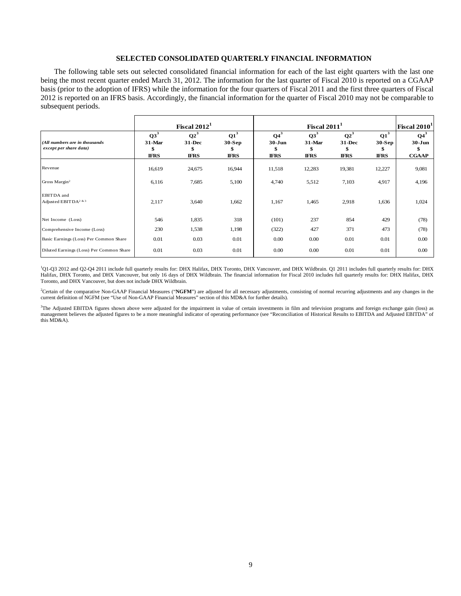## **SELECTED CONSOLIDATED QUARTERLY FINANCIAL INFORMATION**

The following table sets out selected consolidated financial information for each of the last eight quarters with the last one being the most recent quarter ended March 31, 2012. The information for the last quarter of Fiscal 2010 is reported on a CGAAP basis (prior to the adoption of IFRS) while the information for the four quarters of Fiscal 2011 and the first three quarters of Fiscal 2012 is reported on an IFRS basis. Accordingly, the financial information for the quarter of Fiscal 2010 may not be comparable to subsequent periods.

|                                                          |                                          | Fiscal $2012^1$                       |                                                  |                                           | Fiscal $20111$                  |                                             |                                   | Fiscal 2010 <sup>1</sup>             |
|----------------------------------------------------------|------------------------------------------|---------------------------------------|--------------------------------------------------|-------------------------------------------|---------------------------------|---------------------------------------------|-----------------------------------|--------------------------------------|
| (All numbers are in thousands)<br>except per share data) | $Q3^3$<br>$31$ -Mar<br>\$<br><b>IFRS</b> | $Q2^3$<br>31-Dec<br>\$<br><b>IFRS</b> | $\mathbf{Q1}^3$<br>$30-Sep$<br>×.<br><b>IFRS</b> | $Q4^3$<br>$30 - Jun$<br>\$<br><b>IFRS</b> | $Q3^3$<br>31-Mar<br><b>IFRS</b> | $Q2^3$<br><b>31-Dec</b><br>ъ<br><b>IFRS</b> | $Q1^3$<br>$30-Sep$<br><b>IFRS</b> | $Q4^3$<br>$30 - Jun$<br><b>CGAAP</b> |
| Revenue                                                  | 16,619                                   | 24,675                                | 16,944                                           | 11,518                                    | 12,283                          | 19,381                                      | 12,227                            | 9,081                                |
| Gross Margin <sup>2</sup>                                | 6,116                                    | 7,685                                 | 5,100                                            | 4,740                                     | 5,512                           | 7,103                                       | 4,917                             | 4,196                                |
| EBITDA and<br>Adjusted EBIT DA <sup>2 &amp; 3</sup>      | 2,117                                    | 3,640                                 | 1,662                                            | 1,167                                     | 1,465                           | 2,918                                       | 1,636                             | 1,024                                |
| Net Income (Loss)                                        | 546                                      | 1,835                                 | 318                                              | (101)                                     | 237                             | 854                                         | 429                               | (78)                                 |
| Comprehensive Income (Loss)                              | 230                                      | 1,538                                 | 1,198                                            | (322)                                     | 427                             | 371                                         | 473                               | (78)                                 |
| Basic Earnings (Loss) Per Common Share                   | 0.01                                     | 0.03                                  | 0.01                                             | 0.00                                      | 0.00                            | 0.01                                        | 0.01                              | 0.00                                 |
| Diluted Earnings (Loss) Per Common Share                 | 0.01                                     | 0.03                                  | 0.01                                             | 0.00                                      | 0.00                            | 0.01                                        | 0.01                              | 0.00                                 |

<sup>1</sup>Q1-Q3 2012 and Q2-Q4 2011 include full quarterly results for: DHX Halifax, DHX Toronto, DHX Vancouver, and DHX Wildbrain. Q1 2011 includes full quarterly results for: DHX Halifax, DHX Toronto, and DHX Vancouver, but only 16 days of DHX Wildbrain. The financial information for Fiscal 2010 includes full quarterly results for: DHX Halifax, DHX Toronto, and DHX Vancouver, but does not include DHX Wildbrain.

<sup>2</sup>Certain of the comparative Non-GAAP Financial Measures ("NGFM") are adjusted for all necessary adjustments, consisting of normal recurring adjustments and any changes in the current definition of NGFM (see "Use of Non-GAAP Financial Measures" section of this MD&A for further details).

<sup>3</sup>The Adjusted EBITDA figures shown above were adjusted for the impairment in value of certain investments in film and television programs and foreign exchange gain (loss) as management believes the adjusted figures to be a more meaningful indicator of operating performance (see "Reconciliation of Historical Results to EBITDA and Adjusted EBITDA" of this MD&A).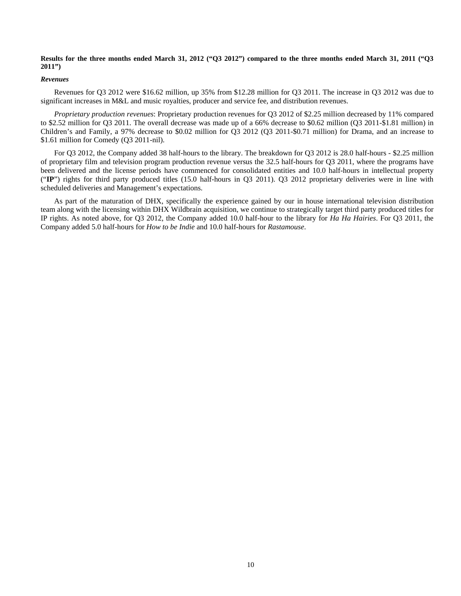## **Results for the three months ended March 31, 2012 ("Q3 2012") compared to the three months ended March 31, 2011 ("Q3 2011")**

## *Revenues*

Revenues for Q3 2012 were \$16.62 million, up 35% from \$12.28 million for Q3 2011. The increase in Q3 2012 was due to significant increases in M&L and music royalties, producer and service fee, and distribution revenues.

*Proprietary production revenues*: Proprietary production revenues for Q3 2012 of \$2.25 million decreased by 11% compared to \$2.52 million for Q3 2011. The overall decrease was made up of a 66% decrease to \$0.62 million (Q3 2011-\$1.81 million) in Children's and Family, a 97% decrease to \$0.02 million for Q3 2012 (Q3 2011-\$0.71 million) for Drama, and an increase to \$1.61 million for Comedy (Q3 2011-nil).

For Q3 2012, the Company added 38 half-hours to the library. The breakdown for Q3 2012 is 28.0 half-hours - \$2.25 million of proprietary film and television program production revenue versus the 32.5 half-hours for Q3 2011, where the programs have been delivered and the license periods have commenced for consolidated entities and 10.0 half-hours in intellectual property ("**IP**") rights for third party produced titles (15.0 half-hours in Q3 2011). Q3 2012 proprietary deliveries were in line with scheduled deliveries and Management's expectations.

As part of the maturation of DHX, specifically the experience gained by our in house international television distribution team along with the licensing within DHX Wildbrain acquisition, we continue to strategically target third party produced titles for IP rights. As noted above, for Q3 2012, the Company added 10.0 half-hour to the library for *Ha Ha Hairies*. For Q3 2011, the Company added 5.0 half-hours for *How to be Indie* and 10.0 half-hours for *Rastamouse*.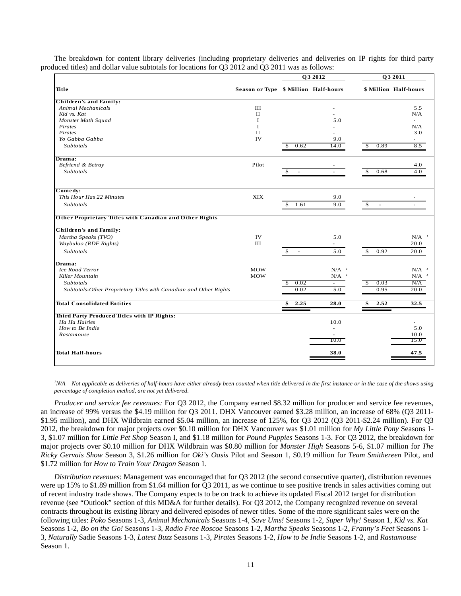|                                                                   |                                      |                                          | Q3 2012                         | Q3 2011              |                                 |  |
|-------------------------------------------------------------------|--------------------------------------|------------------------------------------|---------------------------------|----------------------|---------------------------------|--|
| Title                                                             | Season or Type \$ Million Half-hours |                                          |                                 |                      | \$ Million Half-hours           |  |
| <b>Children's and Family:</b>                                     |                                      |                                          |                                 |                      |                                 |  |
| Animal Mechanicals                                                | III                                  |                                          |                                 |                      | 5.5                             |  |
| Kid vs. Kat                                                       | $\mathbf{I}$                         |                                          |                                 |                      | N/A                             |  |
| Monster Math Squad                                                | T                                    |                                          | 5.0                             |                      | $\sim$                          |  |
| Pirates                                                           | I                                    |                                          |                                 |                      | N/A                             |  |
| Pirates                                                           | $\rm II$                             |                                          |                                 |                      | 3.0                             |  |
| Yo Gabba Gabba                                                    | IV                                   |                                          | 9.0                             |                      |                                 |  |
| <b>Subtotals</b>                                                  |                                      | 0.62<br>\$.                              | 14.0                            | 0.89<br>\$           | 8.5                             |  |
| Drama:                                                            |                                      |                                          |                                 |                      |                                 |  |
| Befriend & Betray                                                 | Pilot                                |                                          |                                 |                      | 4.0                             |  |
| Subtotals                                                         |                                      | \$<br>$\overline{\phantom{a}}$           |                                 | 0.68<br>$\mathbb{S}$ | 4.0                             |  |
| Comedy:                                                           |                                      |                                          |                                 |                      |                                 |  |
| This Hour Has 22 Minutes                                          | <b>XIX</b>                           |                                          | 9.0                             |                      |                                 |  |
| <b>Subtotals</b>                                                  |                                      | \$<br>1.61                               | 9.0                             | \$<br>$\omega$       |                                 |  |
| Other Proprietary Titles with Canadian and Other Rights           |                                      |                                          |                                 |                      |                                 |  |
| <b>Children's and Family:</b>                                     |                                      |                                          |                                 |                      |                                 |  |
| Martha Speaks (TVO)                                               | IV                                   |                                          | 5.0                             |                      | $N/A$ <sup><math>1</math></sup> |  |
| Waybuloo (RDF Rights)                                             | $\rm III$                            |                                          | $\overline{\phantom{0}}$        |                      | 20.0                            |  |
| <b>Subtotals</b>                                                  |                                      | $\mathbb{S}$<br>$\overline{\phantom{a}}$ | 5.0                             | \$<br>0.92           | 20.0                            |  |
| Drama:                                                            |                                      |                                          |                                 |                      |                                 |  |
| <b>Ice Road Terror</b>                                            | <b>MOW</b>                           |                                          | $N/A$ <sup><math>I</math></sup> |                      | $N/A$ <sup><math>I</math></sup> |  |
| Killer Mountain                                                   | <b>MOW</b>                           |                                          | $N/A$ <sup><math>1</math></sup> |                      | $N/A$ <sup><math>1</math></sup> |  |
| Subtotals                                                         |                                      | 0.02                                     |                                 | 0.03<br>S            | N/A                             |  |
| Subtotals-Other Proprietary Titles with Canadian and Other Rights |                                      | 0.02                                     | 5.0                             | 0.95                 | 20.0                            |  |
| <b>Total Consolidated Entities</b>                                |                                      | 2.25<br>\$                               | 28.0                            | 2.52<br>\$           | 32.5                            |  |
| Third Party Produced Titles with IP Rights:                       |                                      |                                          |                                 |                      |                                 |  |
| Ha Ha Hairies                                                     |                                      |                                          | 10.0                            |                      |                                 |  |
| How to Be Indie                                                   |                                      |                                          | L.                              |                      | 5.0                             |  |
| Rastamouse                                                        |                                      |                                          |                                 |                      | 10.0                            |  |
|                                                                   |                                      |                                          | 10.0                            |                      | 15.0                            |  |
|                                                                   |                                      |                                          |                                 |                      |                                 |  |

The breakdown for content library deliveries (including proprietary deliveries and deliveries on IP rights for third party produced titles) and dollar value subtotals for locations for Q3 2012 and Q3 2011 was as follows:

<sup>*IN/A – Not applicable as deliveries of half-hours have either already been counted when title delivered in the first instance or in the case of the shows using</sup> percentage of completion method, are not yet delivered*.

*Producer and service fee revenues:* For Q3 2012, the Company earned \$8.32 million for producer and service fee revenues, an increase of 99% versus the \$4.19 million for Q3 2011. DHX Vancouver earned \$3.28 million, an increase of 68% (Q3 2011- \$1.95 million), and DHX Wildbrain earned \$5.04 million, an increase of 125%, for Q3 2012 (Q3 2011-\$2.24 million). For Q3 2012, the breakdown for major projects over \$0.10 million for DHX Vancouver was \$1.01 million for *My Little Pony* Seasons 1- 3, \$1.07 million for *Little Pet Shop* Season I, and \$1.18 million for *Pound Puppies* Seasons 1-3. For Q3 2012, the breakdown for major projects over \$0.10 million for DHX Wildbrain was \$0.80 million for *Monster High* Seasons 5-6, \$1.07 million for *The Ricky Gervais Show* Season 3, \$1.26 million for *Oki's Oasis* Pilot and Season 1, \$0.19 million for *Team Smithereen* Pilot, and \$1.72 million for *How to Train Your Dragon* Season 1.

*Distribution revenues*: Management was encouraged that for Q3 2012 (the second consecutive quarter), distribution revenues were up 15% to \$1.89 million from \$1.64 million for Q3 2011, as we continue to see positive trends in sales activities coming out of recent industry trade shows. The Company expects to be on track to achieve its updated Fiscal 2012 target for distribution revenue (see "Outlook" section of this MD&A for further details). For Q3 2012, the Company recognized revenue on several contracts throughout its existing library and delivered episodes of newer titles. Some of the more significant sales were on the following titles: *Poko* Seasons 1-3, *Animal Mechanicals* Seasons 1-4, *Save Ums!* Seasons 1-2, *Super Why!* Season 1, *Kid vs. Kat* Seasons 1-2, *Bo on the Go!* Seasons 1-3, *Radio Free Roscoe* Seasons 1-2, *Martha Speaks* Seasons 1-2, *Franny's Feet* Seasons 1- 3, *Naturally* Sadie Seasons 1-3, *Latest Buzz* Seasons 1-3, *Pirates* Seasons 1-2, *How to be Indie* Seasons 1-2, and *Rastamouse* Season 1.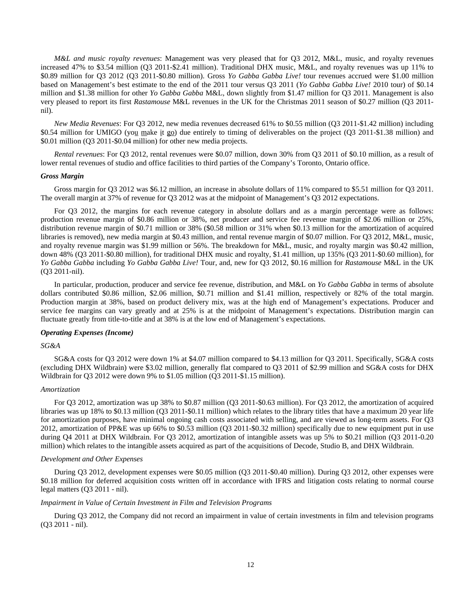*M&L and music royalty revenues*: Management was very pleased that for Q3 2012, M&L, music, and royalty revenues increased 47% to \$3.54 million (Q3 2011-\$2.41 million). Traditional DHX music, M&L, and royalty revenues was up 11% to \$0.89 million for Q3 2012 (Q3 2011-\$0.80 million). Gross *Yo Gabba Gabba Live!* tour revenues accrued were \$1.00 million based on Management's best estimate to the end of the 2011 tour versus Q3 2011 (*Yo Gabba Gabba Live!* 2010 tour) of \$0.14 million and \$1.38 million for other *Yo Gabba Gabba* M&L, down slightly from \$1.47 million for Q3 2011. Management is also very pleased to report its first *Rastamouse* M&L revenues in the UK for the Christmas 2011 season of \$0.27 million (Q3 2011 nil).

*New Media Revenues*: For Q3 2012, new media revenues decreased 61% to \$0.55 million (Q3 2011-\$1.42 million) including \$0.54 million for UMIGO (you make it go) due entirely to timing of deliverables on the project (Q3 2011-\$1.38 million) and \$0.01 million (Q3 2011-\$0.04 million) for other new media projects.

*Rental revenues*: For Q3 2012, rental revenues were \$0.07 million, down 30% from Q3 2011 of \$0.10 million, as a result of lower rental revenues of studio and office facilities to third parties of the Company's Toronto, Ontario office.

#### *Gross Margin*

Gross margin for Q3 2012 was \$6.12 million, an increase in absolute dollars of 11% compared to \$5.51 million for Q3 2011. The overall margin at 37% of revenue for Q3 2012 was at the midpoint of Management's Q3 2012 expectations.

For Q3 2012, the margins for each revenue category in absolute dollars and as a margin percentage were as follows: production revenue margin of \$0.86 million or 38%, net producer and service fee revenue margin of \$2.06 million or 25%, distribution revenue margin of \$0.71 million or 38% (\$0.58 million or 31% when \$0.13 million for the amortization of acquired libraries is removed), new media margin at \$0.43 million, and rental revenue margin of \$0.07 million. For Q3 2012, M&L, music, and royalty revenue margin was \$1.99 million or 56%. The breakdown for M&L, music, and royalty margin was \$0.42 million, down 48% (Q3 2011-\$0.80 million), for traditional DHX music and royalty, \$1.41 million, up 135% (Q3 2011-\$0.60 million), for *Yo Gabba Gabba* including *Yo Gabba Gabba Live!* Tour, and, new for Q3 2012, \$0.16 million for *Rastamouse* M&L in the UK (Q3 2011-nil).

In particular, production, producer and service fee revenue, distribution, and M&L on *Yo Gabba Gabba* in terms of absolute dollars contributed \$0.86 million, \$2.06 million, \$0.71 million and \$1.41 million, respectively or 82% of the total margin. Production margin at 38%, based on product delivery mix, was at the high end of Management's expectations. Producer and service fee margins can vary greatly and at 25% is at the midpoint of Management's expectations. Distribution margin can fluctuate greatly from title-to-title and at 38% is at the low end of Management's expectations.

## *Operating Expenses (Income)*

## *SG&A*

SG&A costs for Q3 2012 were down 1% at \$4.07 million compared to \$4.13 million for Q3 2011. Specifically, SG&A costs (excluding DHX Wildbrain) were \$3.02 million, generally flat compared to Q3 2011 of \$2.99 million and SG&A costs for DHX Wildbrain for Q3 2012 were down 9% to \$1.05 million (Q3 2011-\$1.15 million).

## *Amortization*

For Q3 2012, amortization was up 38% to \$0.87 million (Q3 2011-\$0.63 million). For Q3 2012, the amortization of acquired libraries was up 18% to \$0.13 million (Q3 2011-\$0.11 million) which relates to the library titles that have a maximum 20 year life for amortization purposes, have minimal ongoing cash costs associated with selling, and are viewed as long-term assets. For Q3 2012, amortization of PP&E was up 66% to \$0.53 million (Q3 2011-\$0.32 million) specifically due to new equipment put in use during Q4 2011 at DHX Wildbrain. For Q3 2012, amortization of intangible assets was up 5% to \$0.21 million (Q3 2011-0.20) million) which relates to the intangible assets acquired as part of the acquisitions of Decode, Studio B, and DHX Wildbrain.

## *Development and Other Expenses*

During Q3 2012, development expenses were \$0.05 million (Q3 2011-\$0.40 million). During Q3 2012, other expenses were \$0.18 million for deferred acquisition costs written off in accordance with IFRS and litigation costs relating to normal course legal matters (Q3 2011 - nil).

#### *Impairment in Value of Certain Investment in Film and Television Programs*

During Q3 2012, the Company did not record an impairment in value of certain investments in film and television programs (Q3 2011 - nil).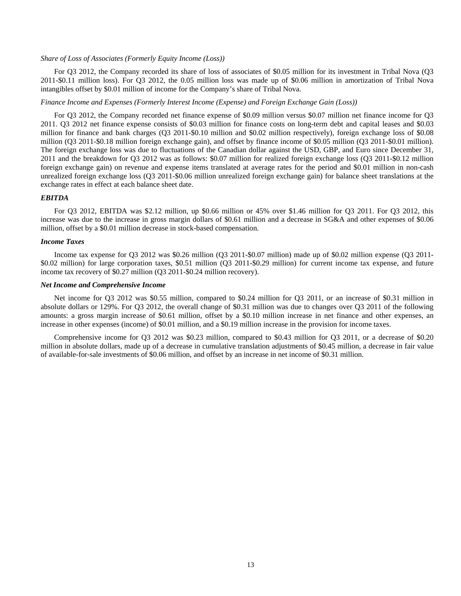#### *Share of Loss of Associates (Formerly Equity Income (Loss))*

For Q3 2012, the Company recorded its share of loss of associates of \$0.05 million for its investment in Tribal Nova (Q3 2011-\$0.11 million loss). For Q3 2012, the 0.05 million loss was made up of \$0.06 million in amortization of Tribal Nova intangibles offset by \$0.01 million of income for the Company's share of Tribal Nova.

## *Finance Income and Expenses (Formerly Interest Income (Expense) and Foreign Exchange Gain (Loss))*

For Q3 2012, the Company recorded net finance expense of \$0.09 million versus \$0.07 million net finance income for Q3 2011. Q3 2012 net finance expense consists of \$0.03 million for finance costs on long-term debt and capital leases and \$0.03 million for finance and bank charges (Q3 2011-\$0.10 million and \$0.02 million respectively), foreign exchange loss of \$0.08 million (Q3 2011-\$0.18 million foreign exchange gain), and offset by finance income of \$0.05 million (Q3 2011-\$0.01 million). The foreign exchange loss was due to fluctuations of the Canadian dollar against the USD, GBP, and Euro since December 31, 2011 and the breakdown for Q3 2012 was as follows: \$0.07 million for realized foreign exchange loss (Q3 2011-\$0.12 million foreign exchange gain) on revenue and expense items translated at average rates for the period and \$0.01 million in non-cash unrealized foreign exchange loss (Q3 2011-\$0.06 million unrealized foreign exchange gain) for balance sheet translations at the exchange rates in effect at each balance sheet date.

## *EBITDA*

For Q3 2012, EBITDA was \$2.12 million, up \$0.66 million or 45% over \$1.46 million for Q3 2011. For Q3 2012, this increase was due to the increase in gross margin dollars of \$0.61 million and a decrease in SG&A and other expenses of \$0.06 million, offset by a \$0.01 million decrease in stock-based compensation.

## *Income Taxes*

Income tax expense for Q3 2012 was \$0.26 million (Q3 2011-\$0.07 million) made up of \$0.02 million expense (Q3 2011- \$0.02 million) for large corporation taxes, \$0.51 million (Q3 2011-\$0.29 million) for current income tax expense, and future income tax recovery of \$0.27 million (Q3 2011-\$0.24 million recovery).

#### *Net Income and Comprehensive Income*

Net income for Q3 2012 was \$0.55 million, compared to \$0.24 million for Q3 2011, or an increase of \$0.31 million in absolute dollars or 129%. For Q3 2012, the overall change of \$0.31 million was due to changes over Q3 2011 of the following amounts: a gross margin increase of \$0.61 million, offset by a \$0.10 million increase in net finance and other expenses, an increase in other expenses (income) of \$0.01 million, and a \$0.19 million increase in the provision for income taxes.

Comprehensive income for Q3 2012 was \$0.23 million, compared to \$0.43 million for Q3 2011, or a decrease of \$0.20 million in absolute dollars, made up of a decrease in cumulative translation adjustments of \$0.45 million, a decrease in fair value of available-for-sale investments of \$0.06 million, and offset by an increase in net income of \$0.31 million.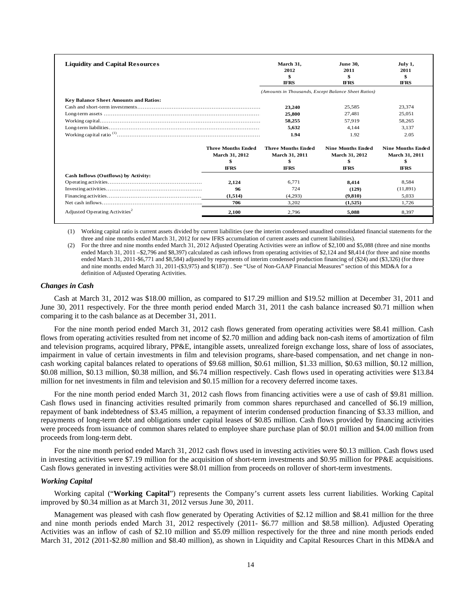| <b>Liquidity and Capital Resources</b>       |                           | March 31.<br>2012<br>\$<br><b>IFRS</b>              | <b>June 30.</b><br>2011<br>\$<br><b>IFRS</b> | July 1,<br>2011<br>\$<br><b>IFRS</b> |
|----------------------------------------------|---------------------------|-----------------------------------------------------|----------------------------------------------|--------------------------------------|
|                                              |                           | (Amounts in Thousands, Except Balance Sheet Ratios) |                                              |                                      |
| <b>Key Balance Sheet Amounts and Ratios:</b> |                           |                                                     |                                              |                                      |
|                                              |                           | 23,240                                              | 25.585                                       | 23.374                               |
|                                              |                           | 25,800                                              | 27.481                                       | 25,051                               |
|                                              |                           | 58,255                                              | 57.919                                       | 58.265                               |
|                                              |                           | 5,632                                               | 4,144                                        | 3.137                                |
|                                              |                           | 1.94                                                | 1.92                                         | 2.05                                 |
|                                              | <b>Three Months Ended</b> | <b>Three Months Ended</b>                           | <b>Nine Months Ended</b>                     | <b>Nine Months Ended</b>             |
|                                              | <b>March 31, 2012</b>     | March 31, 2011                                      | March 31, 2012                               | <b>March 31, 2011</b>                |
|                                              |                           |                                                     |                                              |                                      |
|                                              | <b>IFRS</b>               | <b>IFRS</b>                                         | <b>IFRS</b>                                  | <b>IFRS</b>                          |
| Cash Inflows (Outflows) by Activity:         |                           |                                                     |                                              |                                      |
|                                              | 2.124                     | 6.771                                               | 8.414                                        | 8.584                                |
|                                              | 96                        | 724                                                 | (129)                                        | (11,891)                             |
|                                              | (1,514)                   | (4,293)                                             | (9.810)                                      | 5.033                                |
|                                              | 706                       | 3,202                                               | (1,525)                                      | 1.726                                |
| Adjusted Operating Activities <sup>2</sup>   | 2.100                     | 2.796                                               | 5.088                                        | 8.397                                |

(1) Working capital ratio is current assets divided by current liabilities (see the interim condensed unaudited consolidated financial statements for the three and nine months ended March 31, 2012 for new IFRS accumulation of current assets and current liabilities).

(2) For the three and nine months ended March 31, 2012 Adjusted Operating Activities were an inflow of \$2,100 and \$5,088 (three and nine months ended March 31, 2011 –\$2,796 and \$8,397) calculated as cash inflows from operating activities of \$2,124 and \$8,414 (for three and nine months ended March 31, 2011-\$6,771 and \$8,584) adjusted by repayments of interim condensed production financing of (\$24) and (\$3,326) (for three and nine months ended March 31, 2011-(\$3,975) and \$(187)) . See "Use of Non-GAAP Financial Measures" section of this MD&A for a definition of Adjusted Operating Activities.

#### *Changes in Cash*

Cash at March 31, 2012 was \$18.00 million, as compared to \$17.29 million and \$19.52 million at December 31, 2011 and June 30, 2011 respectively. For the three month period ended March 31, 2011 the cash balance increased \$0.71 million when comparing it to the cash balance as at December 31, 2011.

For the nine month period ended March 31, 2012 cash flows generated from operating activities were \$8.41 million. Cash flows from operating activities resulted from net income of \$2.70 million and adding back non-cash items of amortization of film and television programs, acquired library, PP&E, intangible assets, unrealized foreign exchange loss, share of loss of associates, impairment in value of certain investments in film and television programs, share-based compensation, and net change in noncash working capital balances related to operations of \$9.68 million, \$0.61 million, \$1.33 million, \$0.63 million, \$0.12 million, \$0.08 million, \$0.13 million, \$0.38 million, and \$6.74 million respectively. Cash flows used in operating activities were \$13.84 million for net investments in film and television and \$0.15 million for a recovery deferred income taxes.

For the nine month period ended March 31, 2012 cash flows from financing activities were a use of cash of \$9.81 million. Cash flows used in financing activities resulted primarily from common shares repurchased and cancelled of \$6.19 million, repayment of bank indebtedness of \$3.45 million, a repayment of interim condensed production financing of \$3.33 million, and repayments of long-term debt and obligations under capital leases of \$0.85 million. Cash flows provided by financing activities were proceeds from issuance of common shares related to employee share purchase plan of \$0.01 million and \$4.00 million from proceeds from long-term debt.

For the nine month period ended March 31, 2012 cash flows used in investing activities were \$0.13 million. Cash flows used in investing activities were \$7.19 million for the acquisition of short-term investments and \$0.95 million for PP&E acquisitions. Cash flows generated in investing activities were \$8.01 million from proceeds on rollover of short-term investments.

## *Working Capital*

Working capital ("**Working Capital**") represents the Company's current assets less current liabilities. Working Capital improved by \$0.34 million as at March 31, 2012 versus June 30, 2011.

Management was pleased with cash flow generated by Operating Activities of \$2.12 million and \$8.41 million for the three and nine month periods ended March 31, 2012 respectively (2011- \$6.77 million and \$8.58 million). Adjusted Operating Activities was an inflow of cash of \$2.10 million and \$5.09 million respectively for the three and nine month periods ended March 31, 2012 (2011-\$2.80 million and \$8.40 million), as shown in Liquidity and Capital Resources Chart in this MD&A and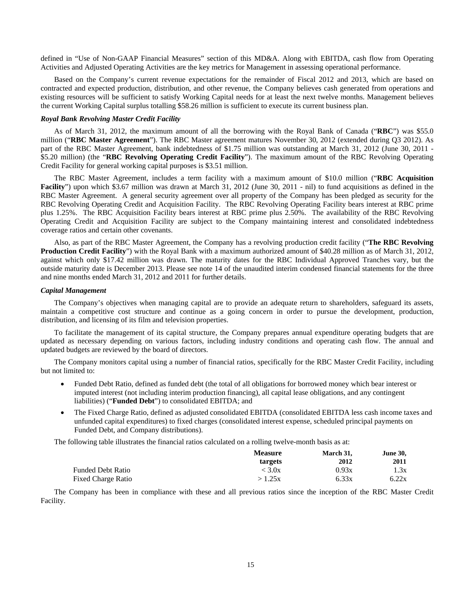defined in "Use of Non-GAAP Financial Measures" section of this MD&A. Along with EBITDA, cash flow from Operating Activities and Adjusted Operating Activities are the key metrics for Management in assessing operational performance.

Based on the Company's current revenue expectations for the remainder of Fiscal 2012 and 2013, which are based on contracted and expected production, distribution, and other revenue, the Company believes cash generated from operations and existing resources will be sufficient to satisfy Working Capital needs for at least the next twelve months. Management believes the current Working Capital surplus totalling \$58.26 million is sufficient to execute its current business plan.

## *Royal Bank Revolving Master Credit Facility*

As of March 31, 2012, the maximum amount of all the borrowing with the Royal Bank of Canada ("**RBC**") was \$55.0 million ("**RBC Master Agreement**"). The RBC Master agreement matures November 30, 2012 (extended during Q3 2012). As part of the RBC Master Agreement, bank indebtedness of \$1.75 million was outstanding at March 31, 2012 (June 30, 2011 - \$5.20 million) (the "**RBC Revolving Operating Credit Facility**"). The maximum amount of the RBC Revolving Operating Credit Facility for general working capital purposes is \$3.51 million.

The RBC Master Agreement, includes a term facility with a maximum amount of \$10.0 million ("**RBC Acquisition Facility**") upon which \$3.67 million was drawn at March 31, 2012 (June 30, 2011 - nil) to fund acquisitions as defined in the RBC Master Agreement. A general security agreement over all property of the Company has been pledged as security for the RBC Revolving Operating Credit and Acquisition Facility. The RBC Revolving Operating Facility bears interest at RBC prime plus 1.25%. The RBC Acquisition Facility bears interest at RBC prime plus 2.50%. The availability of the RBC Revolving Operating Credit and Acquisition Facility are subject to the Company maintaining interest and consolidated indebtedness coverage ratios and certain other covenants.

Also, as part of the RBC Master Agreement, the Company has a revolving production credit facility ("**The RBC Revolving Production Credit Facility**") with the Royal Bank with a maximum authorized amount of \$40.28 million as of March 31, 2012, against which only \$17.42 million was drawn. The maturity dates for the RBC Individual Approved Tranches vary, but the outside maturity date is December 2013. Please see note 14 of the unaudited interim condensed financial statements for the three and nine months ended March 31, 2012 and 2011 for further details.

## *Capital Management*

The Company's objectives when managing capital are to provide an adequate return to shareholders, safeguard its assets, maintain a competitive cost structure and continue as a going concern in order to pursue the development, production, distribution, and licensing of its film and television properties.

To facilitate the management of its capital structure, the Company prepares annual expenditure operating budgets that are updated as necessary depending on various factors, including industry conditions and operating cash flow. The annual and updated budgets are reviewed by the board of directors.

The Company monitors capital using a number of financial ratios, specifically for the RBC Master Credit Facility, including but not limited to:

- Funded Debt Ratio, defined as funded debt (the total of all obligations for borrowed money which bear interest or imputed interest (not including interim production financing), all capital lease obligations, and any contingent liabilities) ("**Funded Debt**") to consolidated EBITDA; and
- The Fixed Charge Ratio, defined as adjusted consolidated EBITDA (consolidated EBITDA less cash income taxes and unfunded capital expenditures) to fixed charges (consolidated interest expense, scheduled principal payments on Funded Debt, and Company distributions).

The following table illustrates the financial ratios calculated on a rolling twelve-month basis as at:

|                           | <b>Measure</b> | March 31, | <b>June 30,</b> |
|---------------------------|----------------|-----------|-----------------|
|                           | targets        | 2012      | 2011            |
| <b>Funded Debt Ratio</b>  | $<$ 3.0x       | 0.93x     | 1.3x            |
| <b>Fixed Charge Ratio</b> | >1.25x         | 6.33x     | 6.22x           |

The Company has been in compliance with these and all previous ratios since the inception of the RBC Master Credit Facility.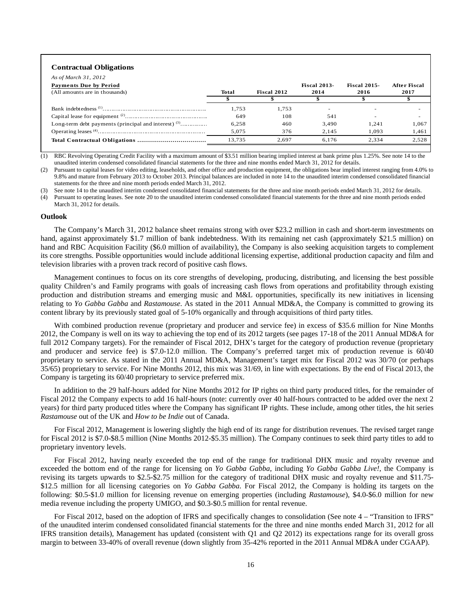#### **Contractual Obligations**

| As of March 31, 2012                                   |        |             |                     |                     |              |
|--------------------------------------------------------|--------|-------------|---------------------|---------------------|--------------|
| <b>Payments Due by Period</b>                          |        |             | <b>Fiscal 2013-</b> | <b>Fiscal 2015-</b> | After Fiscal |
| (All amounts are in thousands)                         | Total  | Fiscal 2012 | 2014                | 2016                | 2017         |
|                                                        |        |             |                     |                     |              |
|                                                        | 1,753  | 1.753       |                     |                     |              |
|                                                        | 649    | 108         | 541                 | -                   |              |
| Long-term debt payments (principal and interest) $(3)$ | 6.258  | 460         | 3.490               | 1.241               | 1,067        |
|                                                        | 5.075  | 376         | 2.145               | 1.093               | 1,461        |
|                                                        | 13.735 | 2.697       | 6.176               | 2.334               | 2.528        |

(1) RBC Revolving Operating Credit Facility with a maximum amount of \$3.51 million bearing implied interest at bank prime plus 1.25%. See note 14 to the unaudited interim condensed consolidated financial statements for the three and nine months ended March 31, 2012 for details.

(2) Pursuant to capital leases for video editing, leaseholds, and other office and production equipment, the obligations bear implied interest ranging from 4.0% to 9.8% and mature from February 2013 to October 2013. Principal balances are included in note 14 to the unaudited interim condensed consolidated financial statements for the three and nine month periods ended March 31, 2012.

See note 14 to the unaudited interim condensed consolidated financial statements for the three and nine month periods ended March 31, 2012 for details.

(4) Pursuant to operating leases. See note 20 to the unaudited interim condensed consolidated financial statements for the three and nine month periods ended March 31, 2012 for details.

#### **Outlook**

The Company's March 31, 2012 balance sheet remains strong with over \$23.2 million in cash and short-term investments on hand, against approximately \$1.7 million of bank indebtedness. With its remaining net cash (approximately \$21.5 million) on hand and RBC Acquisition Facility (\$6.0 million of availability), the Company is also seeking acquisition targets to complement its core strengths. Possible opportunities would include additional licensing expertise, additional production capacity and film and television libraries with a proven track record of positive cash flows.

Management continues to focus on its core strengths of developing, producing, distributing, and licensing the best possible quality Children's and Family programs with goals of increasing cash flows from operations and profitability through existing production and distribution streams and emerging music and M&L opportunities, specifically its new initiatives in licensing relating to *Yo Gabba Gabba* and *Rastamouse*. As stated in the 2011 Annual MD&A, the Company is committed to growing its content library by its previously stated goal of 5-10% organically and through acquisitions of third party titles.

With combined production revenue (proprietary and producer and service fee) in excess of \$35.6 million for Nine Months 2012, the Company is well on its way to achieving the top end of its 2012 targets (see pages 17-18 of the 2011 Annual MD&A for full 2012 Company targets). For the remainder of Fiscal 2012, DHX's target for the category of production revenue (proprietary and producer and service fee) is \$7.0-12.0 million. The Company's preferred target mix of production revenue is 60/40 proprietary to service. As stated in the 2011 Annual MD&A, Management's target mix for Fiscal 2012 was 30/70 (or perhaps 35/65) proprietary to service. For Nine Months 2012, this mix was 31/69, in line with expectations. By the end of Fiscal 2013, the Company is targeting its 60/40 proprietary to service preferred mix.

In addition to the 29 half-hours added for Nine Months 2012 for IP rights on third party produced titles, for the remainder of Fiscal 2012 the Company expects to add 16 half-hours (note: currently over 40 half-hours contracted to be added over the next 2 years) for third party produced titles where the Company has significant IP rights. These include, among other titles, the hit series *Rastamouse* out of the UK and *How to be Indie* out of Canada.

For Fiscal 2012, Management is lowering slightly the high end of its range for distribution revenues. The revised target range for Fiscal 2012 is \$7.0-\$8.5 million (Nine Months 2012-\$5.35 million). The Company continues to seek third party titles to add to proprietary inventory levels.

For Fiscal 2012, having nearly exceeded the top end of the range for traditional DHX music and royalty revenue and exceeded the bottom end of the range for licensing on *Yo Gabba Gabba*, including *Yo Gabba Gabba Live!*, the Company is revising its targets upwards to \$2.5-\$2.75 million for the category of traditional DHX music and royalty revenue and \$11.75- \$12.5 million for all licensing categories on *Yo Gabba Gabba*. For Fiscal 2012, the Company is holding its targets on the following: \$0.5-\$1.0 million for licensing revenue on emerging properties (including *Rastamouse*), \$4.0-\$6.0 million for new media revenue including the property UMIGO, and \$0.3-\$0.5 million for rental revenue.

For Fiscal 2012, based on the adoption of IFRS and specifically changes to consolidation (See note 4 – "Transition to IFRS" of the unaudited interim condensed consolidated financial statements for the three and nine months ended March 31, 2012 for all IFRS transition details), Management has updated (consistent with Q1 and Q2 2012) its expectations range for its overall gross margin to between 33-40% of overall revenue (down slightly from 35-42% reported in the 2011 Annual MD&A under CGAAP).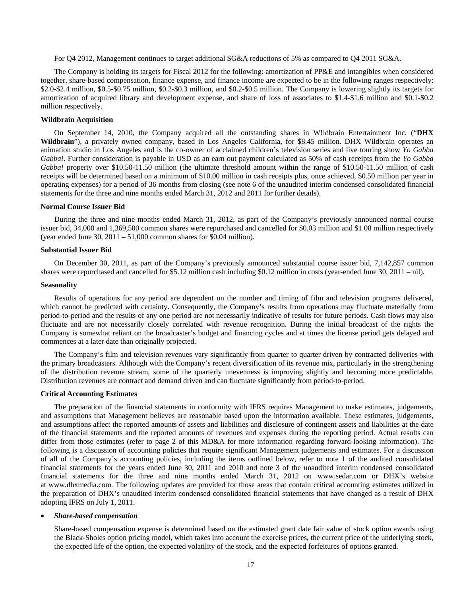For Q4 2012, Management continues to target additional SG&A reductions of 5% as compared to Q4 2011 SG&A.

The Company is holding its targets for Fiscal 2012 for the following: amortization of PP&E and intangibles when considered together, share-based compensation, finance expense, and finance income are expected to be in the following ranges respectively: \$2.0-\$2.4 million, \$0.5-\$0.75 million, \$0.2-\$0.3 million, and \$0.2-\$0.5 million. The Company is lowering slightly its targets for amortization of acquired library and development expense, and share of loss of associates to \$1.4-\$1.6 million and \$0.1-\$0.2 million respectively.

## **Wildbrain Acquisition**

On September 14, 2010, the Company acquired all the outstanding shares in W!ldbrain Entertainment Inc. ("**DHX Wildbrain**"), a privately owned company, based in Los Angeles California, for \$8.45 million. DHX Wildbrain operates an animation studio in Los Angeles and is the co-owner of acclaimed children's television series and live touring show *Yo Gabba Gabba!*. Further consideration is payable in USD as an earn out payment calculated as 50% of cash receipts from the *Yo Gabba Gabba!* property over \$10.50-11.50 million (the ultimate threshold amount within the range of \$10.50-11.50 million of cash receipts will be determined based on a minimum of \$10.00 million in cash receipts plus, once achieved, \$0.50 million per year in operating expenses) for a period of 36 months from closing (see note 6 of the unaudited interim condensed consolidated financial statements for the three and nine months ended March 31, 2012 and 2011 for further details).

#### **Normal Course Issuer Bid**

During the three and nine months ended March 31, 2012, as part of the Company's previously announced normal course issuer bid, 34,000 and 1,369,500 common shares were repurchased and cancelled for \$0.03 million and \$1.08 million respectively (year ended June 30,  $2011 - 51,000$  common shares for \$0.04 million).

## **Substantial Issuer Bid**

On December 30, 2011, as part of the Company's previously announced substantial course issuer bid, 7,142,857 common shares were repurchased and cancelled for \$5.12 million cash including \$0.12 million in costs (year-ended June 30, 2011 – nil).

## **Seasonality**

Results of operations for any period are dependent on the number and timing of film and television programs delivered, which cannot be predicted with certainty. Consequently, the Company's results from operations may fluctuate materially from period-to-period and the results of any one period are not necessarily indicative of results for future periods. Cash flows may also fluctuate and are not necessarily closely correlated with revenue recognition. During the initial broadcast of the rights the Company is somewhat reliant on the broadcaster's budget and financing cycles and at times the license period gets delayed and commences at a later date than originally projected.

The Company's film and television revenues vary significantly from quarter to quarter driven by contracted deliveries with the primary broadcasters. Although with the Company's recent diversification of its revenue mix, particularly in the strengthening of the distribution revenue stream, some of the quarterly unevenness is improving slightly and becoming more predictable. Distribution revenues are contract and demand driven and can fluctuate significantly from period-to-period.

## **Critical Accounting Estimates**

The preparation of the financial statements in conformity with IFRS requires Management to make estimates, judgements, and assumptions that Management believes are reasonable based upon the information available. These estimates, judgements, and assumptions affect the reported amounts of assets and liabilities and disclosure of contingent assets and liabilities at the date of the financial statements and the reported amounts of revenues and expenses during the reporting period. Actual results can differ from those estimates (refer to page 2 of this MD&A for more information regarding forward-looking information). The following is a discussion of accounting policies that require significant Management judgements and estimates. For a discussion of all of the Company's accounting policies, including the items outlined below, refer to note 1 of the audited consolidated financial statements for the years ended June 30, 2011 and 2010 and note 3 of the unaudited interim condensed consolidated financial statements for the three and nine months ended March 31, 2012 on www.sedar.com or DHX's website at www.dhxmedia.com. The following updates are provided for those areas that contain critical accounting estimates utilized in the preparation of DHX's unaudited interim condensed consolidated financial statements that have changed as a result of DHX adopting IFRS on July 1, 2011.

#### • *Share-based compensation*

Share-based compensation expense is determined based on the estimated grant date fair value of stock option awards using the Black-Sholes option pricing model, which takes into account the exercise prices, the current price of the underlying stock, the expected life of the option, the expected volatility of the stock, and the expected forfeitures of options granted.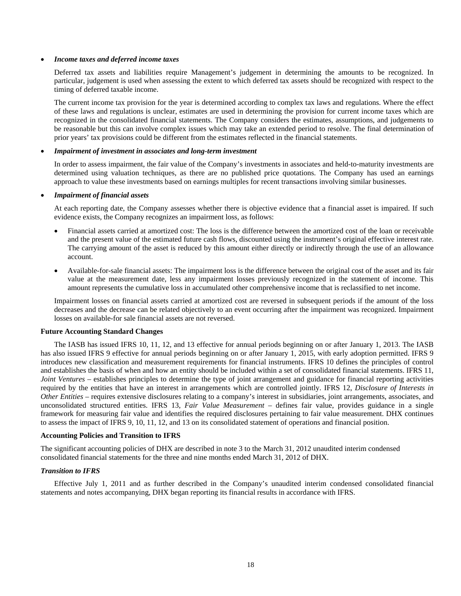## • *Income taxes and deferred income taxes*

Deferred tax assets and liabilities require Management's judgement in determining the amounts to be recognized. In particular, judgement is used when assessing the extent to which deferred tax assets should be recognized with respect to the timing of deferred taxable income.

The current income tax provision for the year is determined according to complex tax laws and regulations. Where the effect of these laws and regulations is unclear, estimates are used in determining the provision for current income taxes which are recognized in the consolidated financial statements. The Company considers the estimates, assumptions, and judgements to be reasonable but this can involve complex issues which may take an extended period to resolve. The final determination of prior years' tax provisions could be different from the estimates reflected in the financial statements.

## • *Impairment of investment in associates and long-term investment*

In order to assess impairment, the fair value of the Company's investments in associates and held-to-maturity investments are determined using valuation techniques, as there are no published price quotations. The Company has used an earnings approach to value these investments based on earnings multiples for recent transactions involving similar businesses.

## • *Impairment of financial assets*

At each reporting date, the Company assesses whether there is objective evidence that a financial asset is impaired. If such evidence exists, the Company recognizes an impairment loss, as follows:

- Financial assets carried at amortized cost: The loss is the difference between the amortized cost of the loan or receivable and the present value of the estimated future cash flows, discounted using the instrument's original effective interest rate. The carrying amount of the asset is reduced by this amount either directly or indirectly through the use of an allowance account.
- Available-for-sale financial assets: The impairment loss is the difference between the original cost of the asset and its fair value at the measurement date, less any impairment losses previously recognized in the statement of income. This amount represents the cumulative loss in accumulated other comprehensive income that is reclassified to net income.

Impairment losses on financial assets carried at amortized cost are reversed in subsequent periods if the amount of the loss decreases and the decrease can be related objectively to an event occurring after the impairment was recognized. Impairment losses on available-for sale financial assets are not reversed.

#### **Future Accounting Standard Changes**

The IASB has issued IFRS 10, 11, 12, and 13 effective for annual periods beginning on or after January 1, 2013. The IASB has also issued IFRS 9 effective for annual periods beginning on or after January 1, 2015, with early adoption permitted. IFRS 9 introduces new classification and measurement requirements for financial instruments. IFRS 10 defines the principles of control and establishes the basis of when and how an entity should be included within a set of consolidated financial statements. IFRS 11, *Joint Ventures* – establishes principles to determine the type of joint arrangement and guidance for financial reporting activities required by the entities that have an interest in arrangements which are controlled jointly. IFRS 12, *Disclosure of Interests in Other Entities* – requires extensive disclosures relating to a company's interest in subsidiaries, joint arrangements, associates, and unconsolidated structured entities. IFRS 13, *Fair Value Measurement* – defines fair value, provides guidance in a single framework for measuring fair value and identifies the required disclosures pertaining to fair value measurement. DHX continues to assess the impact of IFRS 9, 10, 11, 12, and 13 on its consolidated statement of operations and financial position.

## **Accounting Policies and Transition to IFRS**

The significant accounting policies of DHX are described in note 3 to the March 31, 2012 unaudited interim condensed consolidated financial statements for the three and nine months ended March 31, 2012 of DHX.

## *Transition to IFRS*

Effective July 1, 2011 and as further described in the Company's unaudited interim condensed consolidated financial statements and notes accompanying, DHX began reporting its financial results in accordance with IFRS.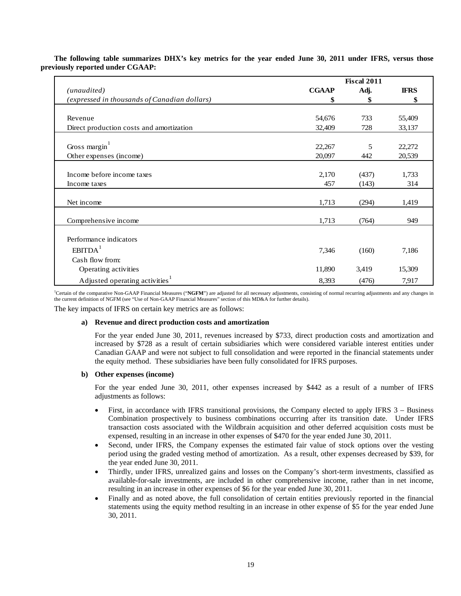|                                              | <b>Fiscal 2011</b> |       |             |  |  |
|----------------------------------------------|--------------------|-------|-------------|--|--|
| (unaudited)                                  | <b>CGAAP</b>       | Adj.  | <b>IFRS</b> |  |  |
| (expressed in thousands of Canadian dollars) | \$                 | \$    | \$          |  |  |
|                                              |                    |       |             |  |  |
| Revenue                                      | 54,676             | 733   | 55,409      |  |  |
| Direct production costs and amortization     | 32,409             | 728   | 33,137      |  |  |
| Gross margin <sup>1</sup>                    | 22,267             | 5     | 22,272      |  |  |
| Other expenses (income)                      | 20,097             | 442   | 20,539      |  |  |
| Income before income taxes                   | 2,170              | (437) | 1,733       |  |  |
| Income taxes                                 | 457                | (143) | 314         |  |  |
| Net income                                   | 1,713              | (294) | 1,419       |  |  |
| Comprehensive income                         | 1,713              | (764) | 949         |  |  |
| Performance indicators                       |                    |       |             |  |  |
| EBITDA <sup>1</sup>                          | 7,346              | (160) | 7,186       |  |  |
| Cash flow from:                              |                    |       |             |  |  |
| Operating activities                         | 11,890             | 3,419 | 15,309      |  |  |
| Adjusted operating activities                | 8,393              | (476) | 7,917       |  |  |

**The following table summarizes DHX's key metrics for the year ended June 30, 2011 under IFRS, versus those previously reported under CGAAP:** 

<sup>1</sup>Certain of the comparative Non-GAAP Financial Measures ("NGFM") are adjusted for all necessary adjustments, consisting of normal recurring adjustments and any changes in the current definition of NGFM (see "Use of Non-GAAP Financial Measures" section of this MD&A for further details).

The key impacts of IFRS on certain key metrics are as follows:

## **a) Revenue and direct production costs and amortization**

For the year ended June 30, 2011, revenues increased by \$733, direct production costs and amortization and increased by \$728 as a result of certain subsidiaries which were considered variable interest entities under Canadian GAAP and were not subject to full consolidation and were reported in the financial statements under the equity method. These subsidiaries have been fully consolidated for IFRS purposes.

## **b) Other expenses (income)**

For the year ended June 30, 2011, other expenses increased by \$442 as a result of a number of IFRS adjustments as follows:

- First, in accordance with IFRS transitional provisions, the Company elected to apply IFRS 3 Business Combination prospectively to business combinations occurring after its transition date. Under IFRS transaction costs associated with the Wildbrain acquisition and other deferred acquisition costs must be expensed, resulting in an increase in other expenses of \$470 for the year ended June 30, 2011.
- Second, under IFRS, the Company expenses the estimated fair value of stock options over the vesting period using the graded vesting method of amortization. As a result, other expenses decreased by \$39, for the year ended June 30, 2011.
- Thirdly, under IFRS, unrealized gains and losses on the Company's short-term investments, classified as available-for-sale investments, are included in other comprehensive income, rather than in net income, resulting in an increase in other expenses of \$6 for the year ended June 30, 2011.
- Finally and as noted above, the full consolidation of certain entities previously reported in the financial statements using the equity method resulting in an increase in other expense of \$5 for the year ended June 30, 2011.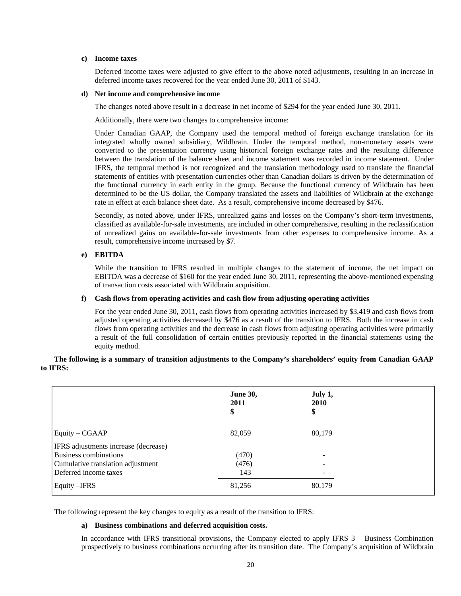## **c) Income taxes**

Deferred income taxes were adjusted to give effect to the above noted adjustments, resulting in an increase in deferred income taxes recovered for the year ended June 30, 2011 of \$143.

## **d) Net income and comprehensive income**

The changes noted above result in a decrease in net income of \$294 for the year ended June 30, 2011.

Additionally, there were two changes to comprehensive income:

Under Canadian GAAP, the Company used the temporal method of foreign exchange translation for its integrated wholly owned subsidiary, Wildbrain. Under the temporal method, non-monetary assets were converted to the presentation currency using historical foreign exchange rates and the resulting difference between the translation of the balance sheet and income statement was recorded in income statement. Under IFRS, the temporal method is not recognized and the translation methodology used to translate the financial statements of entities with presentation currencies other than Canadian dollars is driven by the determination of the functional currency in each entity in the group. Because the functional currency of Wildbrain has been determined to be the US dollar, the Company translated the assets and liabilities of Wildbrain at the exchange rate in effect at each balance sheet date. As a result, comprehensive income decreased by \$476.

Secondly, as noted above, under IFRS, unrealized gains and losses on the Company's short-term investments, classified as available-for-sale investments, are included in other comprehensive, resulting in the reclassification of unrealized gains on available-for-sale investments from other expenses to comprehensive income. As a result, comprehensive income increased by \$7.

## **e) EBITDA**

While the transition to IFRS resulted in multiple changes to the statement of income, the net impact on EBITDA was a decrease of \$160 for the year ended June 30, 2011, representing the above-mentioned expensing of transaction costs associated with Wildbrain acquisition.

## **f) Cash flows from operating activities and cash flow from adjusting operating activities**

For the year ended June 30, 2011, cash flows from operating activities increased by \$3,419 and cash flows from adjusted operating activities decreased by \$476 as a result of the transition to IFRS. Both the increase in cash flows from operating activities and the decrease in cash flows from adjusting operating activities were primarily a result of the full consolidation of certain entities previously reported in the financial statements using the equity method.

|                                      | <b>June 30,</b><br>2011<br>\$ | July 1,<br>2010<br>\$ |
|--------------------------------------|-------------------------------|-----------------------|
| Equity – CGAAP                       | 82,059                        | 80,179                |
| IFRS adjustments increase (decrease) |                               |                       |
| Business combinations                | (470)                         |                       |
| Cumulative translation adjustment    | (476)                         |                       |
| Deferred income taxes                | 143                           |                       |
| Equity – IFRS                        | 81,256                        | 80,179                |

**The following is a summary of transition adjustments to the Company's shareholders' equity from Canadian GAAP to IFRS:** 

The following represent the key changes to equity as a result of the transition to IFRS:

#### **a) Business combinations and deferred acquisition costs.**

In accordance with IFRS transitional provisions, the Company elected to apply IFRS 3 – Business Combination prospectively to business combinations occurring after its transition date. The Company's acquisition of Wildbrain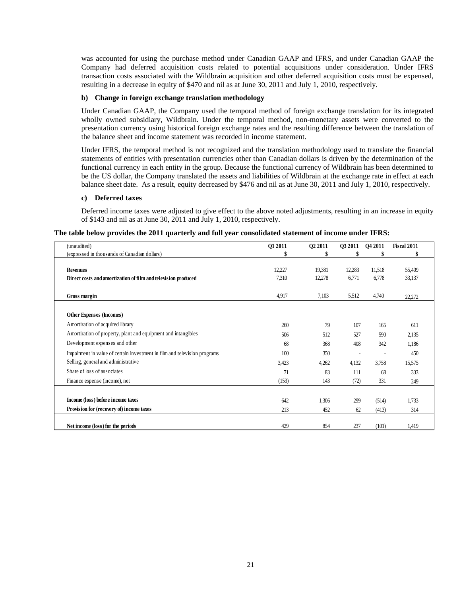was accounted for using the purchase method under Canadian GAAP and IFRS, and under Canadian GAAP the Company had deferred acquisition costs related to potential acquisitions under consideration. Under IFRS transaction costs associated with the Wildbrain acquisition and other deferred acquisition costs must be expensed, resulting in a decrease in equity of \$470 and nil as at June 30, 2011 and July 1, 2010, respectively.

## **b) Change in foreign exchange translation methodology**

Under Canadian GAAP, the Company used the temporal method of foreign exchange translation for its integrated wholly owned subsidiary, Wildbrain. Under the temporal method, non-monetary assets were converted to the presentation currency using historical foreign exchange rates and the resulting difference between the translation of the balance sheet and income statement was recorded in income statement.

Under IFRS, the temporal method is not recognized and the translation methodology used to translate the financial statements of entities with presentation currencies other than Canadian dollars is driven by the determination of the functional currency in each entity in the group. Because the functional currency of Wildbrain has been determined to be the US dollar, the Company translated the assets and liabilities of Wildbrain at the exchange rate in effect at each balance sheet date. As a result, equity decreased by \$476 and nil as at June 30, 2011 and July 1, 2010, respectively.

## **c) Deferred taxes**

Deferred income taxes were adjusted to give effect to the above noted adjustments, resulting in an increase in equity of \$143 and nil as at June 30, 2011 and July 1, 2010, respectively.

|  |  | The table below provides the 2011 quarterly and full year consolidated statement of income under IFRS: |  |
|--|--|--------------------------------------------------------------------------------------------------------|--|
|  |  |                                                                                                        |  |

| (unaudited)                                                               | Q1 2011 | 02 2011 | <b>03 2011</b> | Q4 2011 | Fiscal 2011 |  |
|---------------------------------------------------------------------------|---------|---------|----------------|---------|-------------|--|
| (expressed in thousands of Canadian dollars)                              |         |         |                |         |             |  |
|                                                                           |         |         |                |         |             |  |
| <b>Revenues</b>                                                           | 12,227  | 19,381  | 12,283         | 11,518  | 55,409      |  |
| Direct costs and amortization of film and television produced             | 7,310   | 12,278  | 6,771          | 6,778   | 33,137      |  |
| Gross margin                                                              | 4,917   | 7,103   | 5,512          | 4,740   | 22,272      |  |
| <b>Other Expenses (Incomes)</b>                                           |         |         |                |         |             |  |
| Amortization of acquired library                                          | 260     | 79      | 107            | 165     | 611         |  |
| Amortization of property, plant and equipment and intangibles             | 506     | 512     | 527            | 590     | 2,135       |  |
| Development expenses and other                                            | 68      | 368     | 408            | 342     | 1,186       |  |
| Impairment in value of certain investment in film and television programs | 100     | 350     |                |         | 450         |  |
| Selling, general and administrative                                       | 3,423   | 4,262   | 4,132          | 3,758   | 15,575      |  |
| Share of loss of associates                                               | 71      | 83      | 111            | 68      | 333         |  |
| Finance expense (income), net                                             | (153)   | 143     | (72)           | 331     | 249         |  |
|                                                                           |         |         |                |         |             |  |
| Income (loss) before income taxes                                         | 642     | 1,306   | 299            | (514)   | 1,733       |  |
| Provision for (recovery of) income taxes                                  | 213     | 452     | 62             | (413)   | 314         |  |
| Net income (loss) for the periods                                         | 429     | 854     | 237            | (101)   | 1,419       |  |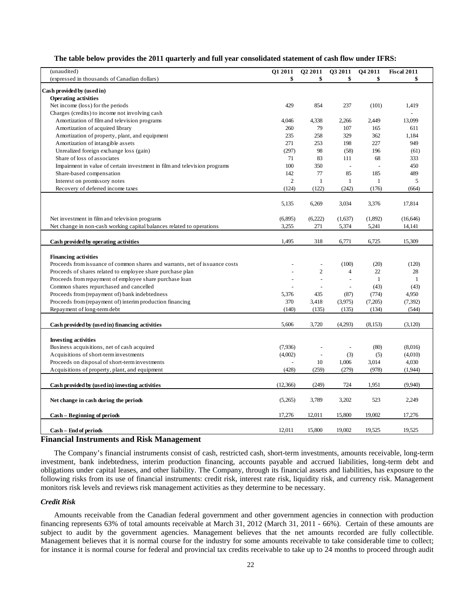## **The table below provides the 2011 quarterly and full year consolidated statement of cash flow under IFRS:**

| (unaudited)                                                                 | O1 2011        | O <sub>2</sub> 2011 | O3 2011                  | O4 2011        | <b>Fiscal 2011</b> |
|-----------------------------------------------------------------------------|----------------|---------------------|--------------------------|----------------|--------------------|
| (expressed in thousands of Canadian dollars)                                | \$             | \$                  | \$                       | \$             |                    |
|                                                                             |                |                     |                          |                |                    |
| Cash provided by (used in)                                                  |                |                     |                          |                |                    |
| <b>Operating activities</b>                                                 |                |                     |                          |                |                    |
| Net income (loss) for the periods                                           | 429            | 854                 | 237                      | (101)          | 1,419              |
| Charges (credits) to income not involving cash                              |                |                     |                          |                |                    |
| Amortization of film and television programs                                | 4,046          | 4,338               | 2,266                    | 2,449          | 13,099             |
| Amortization of acquired library                                            | 260            | 79                  | 107                      | 165            | 611                |
| Amortization of property, plant, and equipment                              | 235            | 258                 | 329                      | 362            | 1,184              |
| Amortization of intangible assets                                           | 271            | 253                 | 198                      | 227            | 949                |
| Unrealized foreign exchange loss (gain)                                     | (297)          | 98                  | (58)                     | 196            | (61)               |
| Share of loss of associates                                                 | 71             | 83                  | 111                      | 68             | 333                |
| Impairment in value of certain investment in film and television programs   | 100            | 350                 | $\overline{\phantom{a}}$ | $\overline{a}$ | 450                |
| Share-based compensation                                                    | 142            | 77                  | 85                       | 185            | 489                |
| Interest on promissory notes                                                | $\overline{2}$ | $\mathbf{1}$        | $\mathbf{1}$             | $\mathbf{1}$   | 5                  |
| Recovery of deferred income taxes                                           | (124)          | (122)               | (242)                    | (176)          | (664)              |
|                                                                             |                |                     |                          |                |                    |
|                                                                             | 5,135          | 6,269               | 3,034                    | 3,376          | 17,814             |
|                                                                             |                |                     |                          |                |                    |
| Net investment in film and television programs                              | (6,895)        | (6,222)             | (1,637)                  | (1,892)        | (16, 646)          |
| Net change in non-cash working capital balances related to operations       | 3,255          | 271                 | 5,374                    | 5,241          | 14,141             |
|                                                                             |                |                     |                          |                |                    |
| Cash provided by operating activities                                       | 1,495          | 318                 | 6,771                    | 6,725          | 15,309             |
|                                                                             |                |                     |                          |                |                    |
| <b>Financing activities</b>                                                 |                |                     |                          |                |                    |
| Proceeds from issuance of common shares and warrants, net of issuance costs |                | $\overline{a}$      | (100)                    | (20)           | (120)              |
| Proceeds of shares related to employee share purchase plan                  |                | $\overline{c}$      | $\overline{4}$           | 22             | 28                 |
| Proceeds from repayment of employee share purchase loan                     |                | $\overline{a}$      | $\sim$                   | 1              | $\mathbf{1}$       |
| Common shares repurchased and cancelled                                     |                |                     | $\overline{a}$           | (43)           | (43)               |
| Proceeds from (repayment of) bank indebtedness                              | 5,376          | 435                 | (87)                     | (774)          | 4,950              |
| Proceeds from (repayment of) interim production financing                   | 370            | 3,418               | (3,975)                  | (7,205)        | (7, 392)           |
| Repayment of long-term debt                                                 | (140)          | (135)               | (135)                    | (134)          | (544)              |
|                                                                             |                |                     |                          |                |                    |
| Cash provided by (used in) financing activities                             | 5,606          | 3,720               | (4,293)                  | (8,153)        | (3,120)            |
|                                                                             |                |                     |                          |                |                    |
| <b>Investing activities</b>                                                 |                |                     |                          |                |                    |
| Business acquisitions, net of cash acquired                                 | (7,936)        |                     |                          | (80)           | (8,016)            |
| Acquisitions of short-term investments                                      | (4,002)        |                     | (3)                      | (5)            | (4,010)            |
| Proceeds on disposal of short-term investments                              |                | 10                  | 1,006                    | 3,014          | 4,030              |
| Acquisitions of property, plant, and equipment                              | (428)          | (259)               | (279)                    | (978)          | (1,944)            |
|                                                                             |                |                     |                          |                |                    |
| Cash provided by (used in) investing activities                             | (12,366)       | (249)               | 724                      | 1,951          | (9,940)            |
|                                                                             |                |                     |                          |                |                    |
| Net change in cash during the periods                                       | (5,265)        | 3,789               | 3,202                    | 523            | 2,249              |
|                                                                             |                |                     |                          |                |                    |
| Cash – Beginning of periods                                                 | 17,276         | 12,011              | 15,800                   | 19,002         | 17,276             |
|                                                                             |                |                     |                          |                |                    |
| Cash - End of periods                                                       | 12,011         | 15,800              | 19,002                   | 19,525         | 19,525             |
|                                                                             |                |                     |                          |                |                    |

## **Financial Instruments and Risk Management**

The Company's financial instruments consist of cash, restricted cash, short-term investments, amounts receivable, long-term investment, bank indebtedness, interim production financing, accounts payable and accrued liabilities, long-term debt and obligations under capital leases, and other liability. The Company, through its financial assets and liabilities, has exposure to the following risks from its use of financial instruments: credit risk, interest rate risk, liquidity risk, and currency risk. Management monitors risk levels and reviews risk management activities as they determine to be necessary.

## *Credit Risk*

Amounts receivable from the Canadian federal government and other government agencies in connection with production financing represents 63% of total amounts receivable at March 31, 2012 (March 31, 2011 - 66%). Certain of these amounts are subject to audit by the government agencies. Management believes that the net amounts recorded are fully collectible. Management believes that it is normal course for the industry for some amounts receivable to take considerable time to collect; for instance it is normal course for federal and provincial tax credits receivable to take up to 24 months to proceed through audit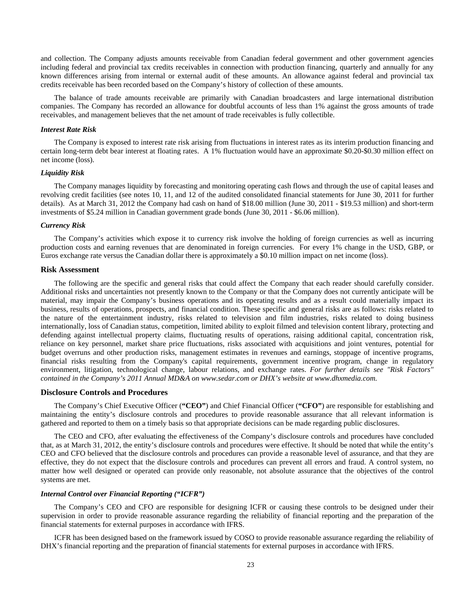and collection. The Company adjusts amounts receivable from Canadian federal government and other government agencies including federal and provincial tax credits receivables in connection with production financing, quarterly and annually for any known differences arising from internal or external audit of these amounts. An allowance against federal and provincial tax credits receivable has been recorded based on the Company's history of collection of these amounts.

The balance of trade amounts receivable are primarily with Canadian broadcasters and large international distribution companies. The Company has recorded an allowance for doubtful accounts of less than 1% against the gross amounts of trade receivables, and management believes that the net amount of trade receivables is fully collectible.

#### *Interest Rate Risk*

The Company is exposed to interest rate risk arising from fluctuations in interest rates as its interim production financing and certain long-term debt bear interest at floating rates. A 1% fluctuation would have an approximate \$0.20-\$0.30 million effect on net income (loss).

## *Liquidity Risk*

The Company manages liquidity by forecasting and monitoring operating cash flows and through the use of capital leases and revolving credit facilities (see notes 10, 11, and 12 of the audited consolidated financial statements for June 30, 2011 for further details). As at March 31, 2012 the Company had cash on hand of \$18.00 million (June 30, 2011 - \$19.53 million) and short-term investments of \$5.24 million in Canadian government grade bonds (June 30, 2011 - \$6.06 million).

#### *Currency Risk*

The Company's activities which expose it to currency risk involve the holding of foreign currencies as well as incurring production costs and earning revenues that are denominated in foreign currencies. For every 1% change in the USD, GBP, or Euros exchange rate versus the Canadian dollar there is approximately a \$0.10 million impact on net income (loss).

#### **Risk Assessment**

The following are the specific and general risks that could affect the Company that each reader should carefully consider. Additional risks and uncertainties not presently known to the Company or that the Company does not currently anticipate will be material, may impair the Company's business operations and its operating results and as a result could materially impact its business, results of operations, prospects, and financial condition. These specific and general risks are as follows: risks related to the nature of the entertainment industry, risks related to television and film industries, risks related to doing business internationally, loss of Canadian status, competition, limited ability to exploit filmed and television content library, protecting and defending against intellectual property claims, fluctuating results of operations, raising additional capital, concentration risk, reliance on key personnel, market share price fluctuations, risks associated with acquisitions and joint ventures, potential for budget overruns and other production risks, management estimates in revenues and earnings, stoppage of incentive programs, financial risks resulting from the Company's capital requirements, government incentive program, change in regulatory environment, litigation, technological change, labour relations, and exchange rates. *For further details see "Risk Factors" contained in the Company's 2011 Annual MD&A on www.sedar.com or DHX's website at www.dhxmedia.com.* 

## **Disclosure Controls and Procedures**

The Company's Chief Executive Officer (**"CEO"**) and Chief Financial Officer (**"CFO"**) are responsible for establishing and maintaining the entity's disclosure controls and procedures to provide reasonable assurance that all relevant information is gathered and reported to them on a timely basis so that appropriate decisions can be made regarding public disclosures.

The CEO and CFO, after evaluating the effectiveness of the Company's disclosure controls and procedures have concluded that, as at March 31, 2012, the entity's disclosure controls and procedures were effective. It should be noted that while the entity's CEO and CFO believed that the disclosure controls and procedures can provide a reasonable level of assurance, and that they are effective, they do not expect that the disclosure controls and procedures can prevent all errors and fraud. A control system, no matter how well designed or operated can provide only reasonable, not absolute assurance that the objectives of the control systems are met.

## *Internal Control over Financial Reporting ("ICFR")*

The Company's CEO and CFO are responsible for designing ICFR or causing these controls to be designed under their supervision in order to provide reasonable assurance regarding the reliability of financial reporting and the preparation of the financial statements for external purposes in accordance with IFRS.

ICFR has been designed based on the framework issued by COSO to provide reasonable assurance regarding the reliability of DHX's financial reporting and the preparation of financial statements for external purposes in accordance with IFRS.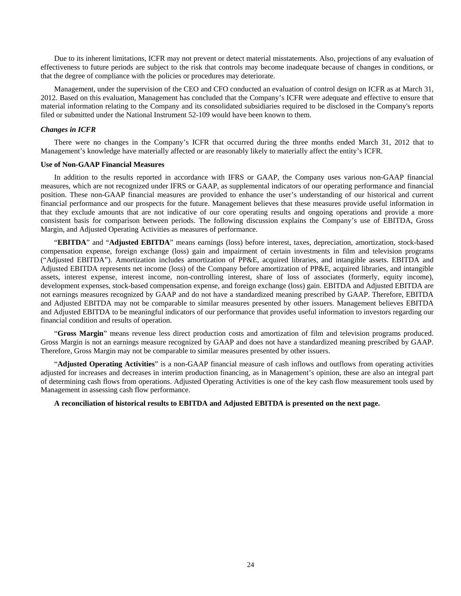Due to its inherent limitations, ICFR may not prevent or detect material misstatements. Also, projections of any evaluation of effectiveness to future periods are subject to the risk that controls may become inadequate because of changes in conditions, or that the degree of compliance with the policies or procedures may deteriorate.

Management, under the supervision of the CEO and CFO conducted an evaluation of control design on ICFR as at March 31, 2012. Based on this evaluation, Management has concluded that the Company's ICFR were adequate and effective to ensure that material information relating to the Company and its consolidated subsidiaries required to be disclosed in the Company's reports filed or submitted under the National Instrument 52-109 would have been known to them.

#### *Changes in ICFR*

There were no changes in the Company's ICFR that occurred during the three months ended March 31, 2012 that to Management's knowledge have materially affected or are reasonably likely to materially affect the entity's ICFR.

#### **Use of Non-GAAP Financial Measures**

In addition to the results reported in accordance with IFRS or GAAP, the Company uses various non-GAAP financial measures, which are not recognized under IFRS or GAAP, as supplemental indicators of our operating performance and financial position. These non-GAAP financial measures are provided to enhance the user's understanding of our historical and current financial performance and our prospects for the future. Management believes that these measures provide useful information in that they exclude amounts that are not indicative of our core operating results and ongoing operations and provide a more consistent basis for comparison between periods. The following discussion explains the Company's use of EBITDA, Gross Margin, and Adjusted Operating Activities as measures of performance.

"**EBITDA**" and "**Adjusted EBITDA**" means earnings (loss) before interest, taxes, depreciation, amortization, stock-based compensation expense, foreign exchange (loss) gain and impairment of certain investments in film and television programs ("Adjusted EBITDA"). Amortization includes amortization of PP&E, acquired libraries, and intangible assets. EBITDA and Adjusted EBITDA represents net income (loss) of the Company before amortization of PP&E, acquired libraries, and intangible assets, interest expense, interest income, non-controlling interest, share of loss of associates (formerly, equity income), development expenses, stock-based compensation expense, and foreign exchange (loss) gain. EBITDA and Adjusted EBITDA are not earnings measures recognized by GAAP and do not have a standardized meaning prescribed by GAAP. Therefore, EBITDA and Adjusted EBITDA may not be comparable to similar measures presented by other issuers. Management believes EBITDA and Adjusted EBITDA to be meaningful indicators of our performance that provides useful information to investors regarding our financial condition and results of operation.

"**Gross Margin**" means revenue less direct production costs and amortization of film and television programs produced. Gross Margin is not an earnings measure recognized by GAAP and does not have a standardized meaning prescribed by GAAP. Therefore, Gross Margin may not be comparable to similar measures presented by other issuers.

"**Adjusted Operating Activities**" is a non-GAAP financial measure of cash inflows and outflows from operating activities adjusted for increases and decreases in interim production financing, as in Management's opinion, these are also an integral part of determining cash flows from operations. Adjusted Operating Activities is one of the key cash flow measurement tools used by Management in assessing cash flow performance.

#### **A reconciliation of historical results to EBITDA and Adjusted EBITDA is presented on the next page.**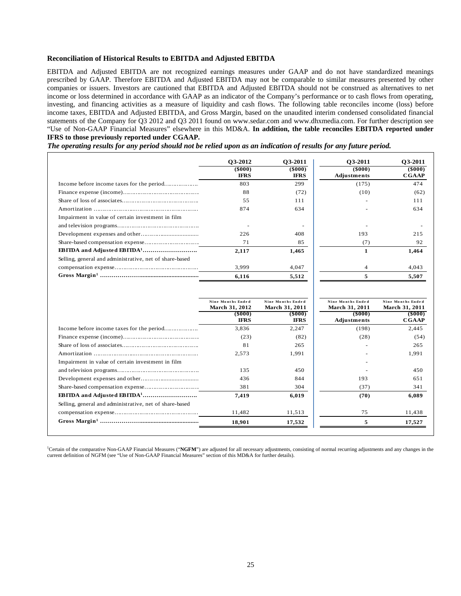## **Reconciliation of Historical Results to EBITDA and Adjusted EBITDA**

EBITDA and Adjusted EBITDA are not recognized earnings measures under GAAP and do not have standardized meanings prescribed by GAAP. Therefore EBITDA and Adjusted EBITDA may not be comparable to similar measures presented by other companies or issuers. Investors are cautioned that EBITDA and Adjusted EBITDA should not be construed as alternatives to net income or loss determined in accordance with GAAP as an indicator of the Company's performance or to cash flows from operating, investing, and financing activities as a measure of liquidity and cash flows. The following table reconciles income (loss) before income taxes, EBITDA and Adjusted EBITDA, and Gross Margin, based on the unaudited interim condensed consolidated financial statements of the Company for Q3 2012 and Q3 2011 found on www.sedar.com and www.dhxmedia.com. For further description see "Use of Non-GAAP Financial Measures" elsewhere in this MD&A. **In addition, the table reconciles EBITDA reported under IFRS to those previously reported under CGAAP.**

*The operating results for any period should not be relied upon as an indication of results for any future period.*

|                                                         | <b>O3-2012</b>               | O3-2011               | 03-2011                      | O3-2011                |
|---------------------------------------------------------|------------------------------|-----------------------|------------------------------|------------------------|
|                                                         | $($ \$000 $)$<br><b>IFRS</b> | (5000)<br><b>IFRS</b> | $($ \$000 $)$<br>Adjustments | (5000)<br><b>CGAAP</b> |
|                                                         | 803                          | 299                   | (175)                        | 474                    |
|                                                         | 88                           | (72)                  | (10)                         | (62)                   |
|                                                         | 55                           | 111                   |                              | 111                    |
|                                                         | 874                          | 634                   |                              | 634                    |
| Impairment in value of certain investment in film       |                              |                       |                              |                        |
|                                                         |                              |                       |                              |                        |
|                                                         | 226                          | 408                   | 193                          | 215                    |
|                                                         | 71                           | 85                    | (7)                          | 92                     |
|                                                         | 2,117                        | 1,465                 |                              | 1,464                  |
| Selling, general and administrative, net of share-based |                              |                       |                              |                        |
|                                                         | 3.999                        | 4.047                 | 4                            | 4,043                  |
|                                                         | 6,116                        | 5,512                 | 5                            | 5,507                  |

|                                                         | Nine Months Ended<br>March 31, 2012<br>(\$000)<br><b>IFRS</b> | Nine Months Ended<br><b>March 31, 2011</b><br>$($ \$000 $)$<br>IFRS | Nine Months Ended<br><b>March 31, 2011</b><br>$($ \$000 $)$<br>Adjustments | Nine Months Ended<br><b>March 31, 2011</b><br>$($ \$000 $)$<br><b>CGAAP</b> |
|---------------------------------------------------------|---------------------------------------------------------------|---------------------------------------------------------------------|----------------------------------------------------------------------------|-----------------------------------------------------------------------------|
|                                                         | 3,836                                                         | 2,247                                                               | (198)                                                                      | 2,445                                                                       |
|                                                         | (23)                                                          | (82)                                                                | (28)                                                                       | (54)                                                                        |
|                                                         | 81                                                            | 265                                                                 |                                                                            | 265                                                                         |
|                                                         | 2,573                                                         | 1,991                                                               |                                                                            | 1,991                                                                       |
| Impairment in value of certain investment in film       |                                                               |                                                                     |                                                                            |                                                                             |
|                                                         | 135                                                           | 450                                                                 |                                                                            | 450                                                                         |
|                                                         | 436                                                           | 844                                                                 | 193                                                                        | 651                                                                         |
|                                                         | 381                                                           | 304                                                                 | (37)                                                                       | 341                                                                         |
|                                                         | 7,419                                                         | 6,019                                                               | (70)                                                                       | 6,089                                                                       |
| Selling, general and administrative, net of share-based |                                                               |                                                                     |                                                                            |                                                                             |
|                                                         | 11,482                                                        | 11,513                                                              | 75                                                                         | 11,438                                                                      |
|                                                         | 18,901                                                        | 17,532                                                              | 5                                                                          | 17,527                                                                      |

<sup>1</sup>Certain of the comparative Non-GAAP Financial Measures ("NGFM") are adjusted for all necessary adjustments, consisting of normal recurring adjustments and any changes in the current definition of NGFM (see "Use of Non-GAAP Financial Measures" section of this MD&A for further details).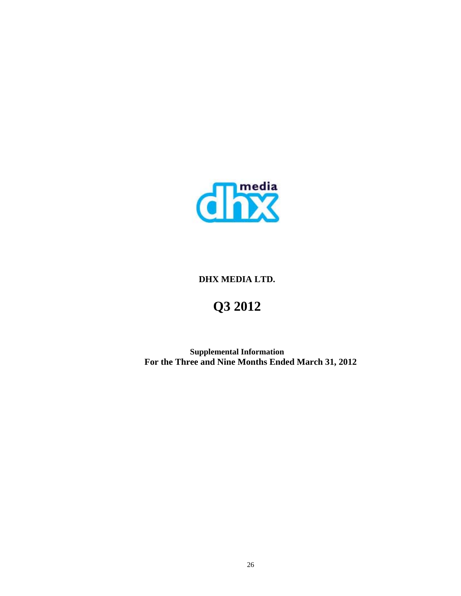

# **DHX MEDIA LTD.**

# **Q3 2012**

**Supplemental Information For the Three and Nine Months Ended March 31, 2012**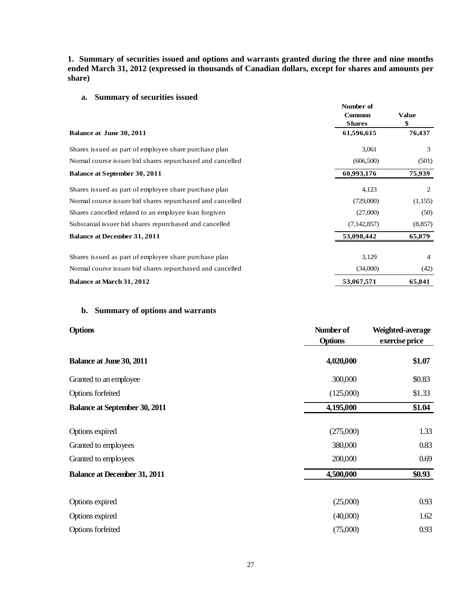**1. Summary of securities issued and options and warrants granted during the three and nine months ended March 31, 2012 (expressed in thousands of Canadian dollars, except for shares and amounts per share)** 

# **a. Summary of securities issued**

|                                                           | Number of<br><b>Common</b><br><b>Shares</b> | <b>Value</b><br>\$ |
|-----------------------------------------------------------|---------------------------------------------|--------------------|
| Balance at June 30, 2011                                  | 61,596,615                                  | 76,437             |
| Shares issued as part of employee share purchase plan     | 3,061                                       | 3                  |
| Normal course issuer bid shares repurchased and cancelled | (606, 500)                                  | (501)              |
| <b>Balance at September 30, 2011</b>                      | 60,993,176                                  | 75,939             |
| Shares issued as part of employee share purchase plan     | 4,123                                       | 2                  |
| Normal course issuer bid shares repurchased and cancelled | (729,000)                                   | (1,155)            |
| Shares cancelled related to an employee loan forgiven     | (27,000)                                    | (50)               |
| Substanial issuer bid shares repurchased and cancelled    | (7, 142, 857)                               | (8, 857)           |
| <b>Balance at December 31, 2011</b>                       | 53,098,442                                  | 65,879             |
| Shares issued as part of employee share purchase plan     | 3,129                                       | $\overline{4}$     |
| Normal course issuer bid shares repurchased and cancelled | (34,000)                                    | (42)               |
| <b>Balance at March 31, 2012</b>                          | 53,067,571                                  | 65,841             |

## **b. Summary of options and warrants**

| <b>Options</b>                       | Number of<br><b>Options</b> | Weighted-average |  |
|--------------------------------------|-----------------------------|------------------|--|
|                                      |                             | exercise price   |  |
| <b>Balance at June 30, 2011</b>      | 4,020,000                   | \$1.07           |  |
| Granted to an employee               | 300,000                     | \$0.83           |  |
| Options forfeited                    | (125,000)                   | \$1.33           |  |
| <b>Balance at September 30, 2011</b> | 4,195,000                   | \$1.04           |  |
| Options expired                      | (275,000)                   | 1.33             |  |
| Granted to employees                 | 380,000                     | 0.83             |  |
| Granted to employees                 | 200,000                     | 0.69             |  |
| <b>Balance at December 31, 2011</b>  | 4,500,000                   | \$0.93           |  |
| Options expired                      | (25,000)                    | 0.93             |  |
| Options expired                      | (40,000)                    | 1.62             |  |
| Options forfeited                    | (75,000)                    | 0.93             |  |